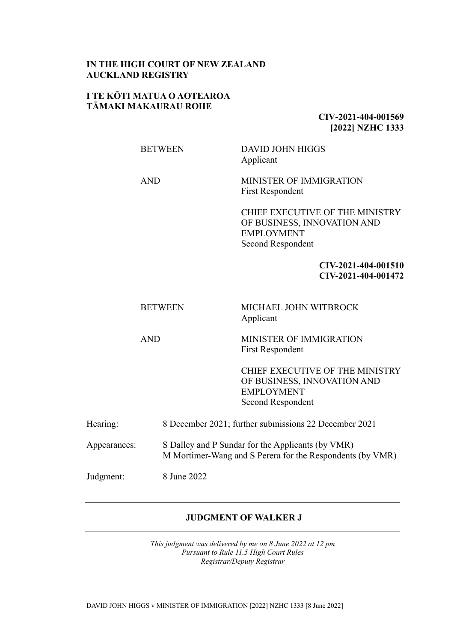## **IN THE HIGH COURT OF NEW ZEALAND AUCKLAND REGISTRY**

### **I TE KŌTI MATUA O AOTEAROA TĀMAKI MAKAURAU ROHE**

**CIV-2021-404-001569 [2022] NZHC 1333**

BETWEEN DAVID JOHN HIGGS Applicant

AND MINISTER OF IMMIGRATION First Respondent

> CHIEF EXECUTIVE OF THE MINISTRY OF BUSINESS, INNOVATION AND EMPLOYMENT Second Respondent

> > **CIV-2021-404-001510 CIV-2021-404-001472**

| BETWEEN | MICHAEL JOHN WITBROCK<br>Applicant |
|---------|------------------------------------|
|         |                                    |

AND MINISTER OF IMMIGRATION First Respondent

> CHIEF EXECUTIVE OF THE MINISTRY OF BUSINESS, INNOVATION AND EMPLOYMENT Second Respondent

| 8 December 2021; further submissions 22 December 2021<br>Hearing: |  |
|-------------------------------------------------------------------|--|
|-------------------------------------------------------------------|--|

Appearances: S Dalley and P Sundar for the Applicants (by VMR) M Mortimer-Wang and S Perera for the Respondents (by VMR)

Judgment: 8 June 2022

## **JUDGMENT OF WALKER J**

*This judgment was delivered by me on 8 June 2022 at 12 pm Pursuant to Rule 11.5 High Court Rules Registrar/Deputy Registrar*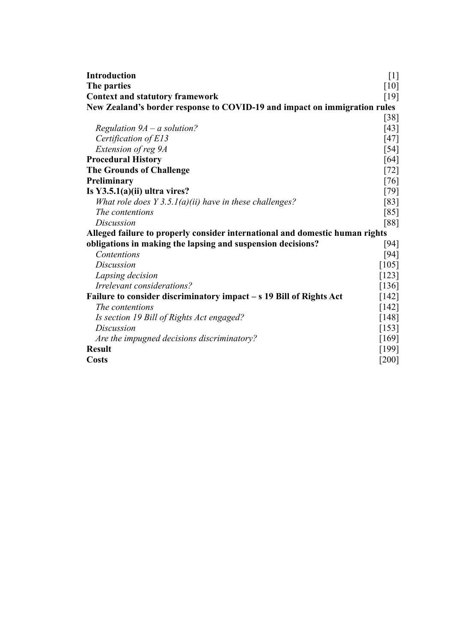| <b>Introduction</b>                                                          | $[1]$   |  |
|------------------------------------------------------------------------------|---------|--|
| The parties                                                                  | [10]    |  |
| <b>Context and statutory framework</b>                                       | [19]    |  |
| New Zealand's border response to COVID-19 and impact on immigration rules    |         |  |
|                                                                              | $[38]$  |  |
| Regulation $9A - a$ solution?                                                | $[43]$  |  |
| Certification of E13                                                         | $[47]$  |  |
| Extension of reg 9A                                                          | $[54]$  |  |
| <b>Procedural History</b>                                                    | [64]    |  |
| <b>The Grounds of Challenge</b>                                              | $[72]$  |  |
| Preliminary                                                                  | $[76]$  |  |
| Is $Y3.5.1(a)(ii)$ ultra vires?                                              | [79]    |  |
| What role does $Y$ 3.5.1(a)(ii) have in these challenges?                    | [83]    |  |
| The contentions                                                              | [85]    |  |
| Discussion                                                                   | [88]    |  |
| Alleged failure to properly consider international and domestic human rights |         |  |
| obligations in making the lapsing and suspension decisions?                  | [94]    |  |
| Contentions                                                                  | $[94]$  |  |
| <i>Discussion</i>                                                            | [105]   |  |
| Lapsing decision                                                             | $[123]$ |  |
| Irrelevant considerations?                                                   | [136]   |  |
| Failure to consider discriminatory impact – s 19 Bill of Rights Act          |         |  |
| <i>The contentions</i>                                                       | $[142]$ |  |
| Is section 19 Bill of Rights Act engaged?                                    | [148]   |  |
| <i>Discussion</i>                                                            | [153]   |  |
| Are the impugned decisions discriminatory?                                   | [169]   |  |
| <b>Result</b>                                                                | [199]   |  |
| <b>Costs</b>                                                                 | $[200]$ |  |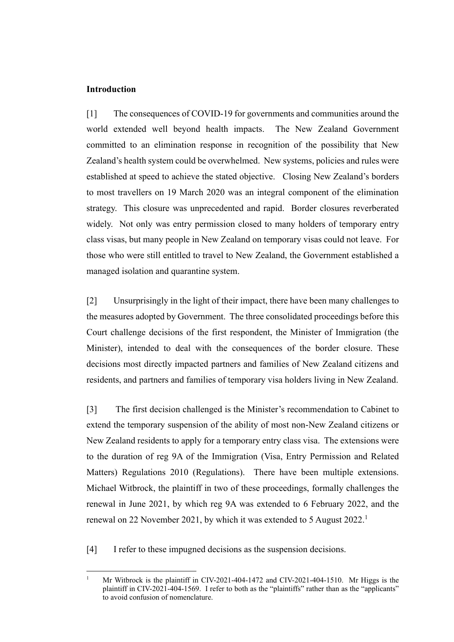### <span id="page-2-0"></span>**Introduction**

[1] The consequences of COVID-19 for governments and communities around the world extended well beyond health impacts. The New Zealand Government committed to an elimination response in recognition of the possibility that New Zealand's health system could be overwhelmed. New systems, policies and rules were established at speed to achieve the stated objective. Closing New Zealand's borders to most travellers on 19 March 2020 was an integral component of the elimination strategy. This closure was unprecedented and rapid. Border closures reverberated widely. Not only was entry permission closed to many holders of temporary entry class visas, but many people in New Zealand on temporary visas could not leave. For those who were still entitled to travel to New Zealand, the Government established a managed isolation and quarantine system.

[2] Unsurprisingly in the light of their impact, there have been many challenges to the measures adopted by Government. The three consolidated proceedings before this Court challenge decisions of the first respondent, the Minister of Immigration (the Minister), intended to deal with the consequences of the border closure. These decisions most directly impacted partners and families of New Zealand citizens and residents, and partners and families of temporary visa holders living in New Zealand.

[3] The first decision challenged is the Minister's recommendation to Cabinet to extend the temporary suspension of the ability of most non-New Zealand citizens or New Zealand residents to apply for a temporary entry class visa. The extensions were to the duration of reg 9A of the Immigration (Visa, Entry Permission and Related Matters) Regulations 2010 (Regulations). There have been multiple extensions. Michael Witbrock, the plaintiff in two of these proceedings, formally challenges the renewal in June 2021, by which reg 9A was extended to 6 February 2022, and the renewal on 22 November 2021, by which it was extended to 5 August 2022.<sup>1</sup>

[4] I refer to these impugned decisions as the suspension decisions.

<sup>1</sup> Mr Witbrock is the plaintiff in CIV-2021-404-1472 and CIV-2021-404-1510. Mr Higgs is the plaintiff in CIV-2021-404-1569. I refer to both as the "plaintiffs" rather than as the "applicants" to avoid confusion of nomenclature.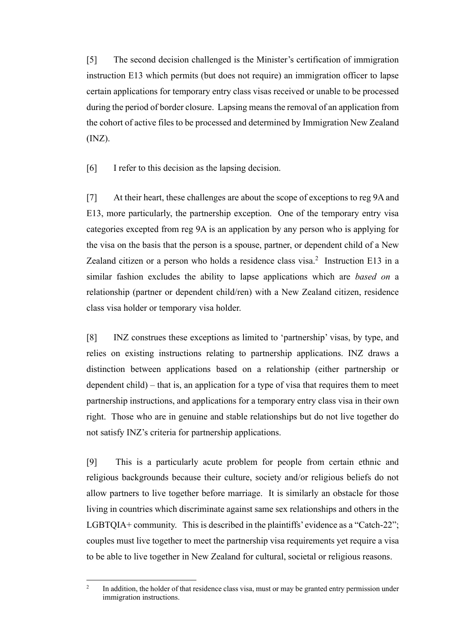[5] The second decision challenged is the Minister's certification of immigration instruction E13 which permits (but does not require) an immigration officer to lapse certain applications for temporary entry class visas received or unable to be processed during the period of border closure. Lapsing means the removal of an application from the cohort of active files to be processed and determined by Immigration New Zealand (INZ).

[6] I refer to this decision as the lapsing decision.

[7] At their heart, these challenges are about the scope of exceptions to reg 9A and E13, more particularly, the partnership exception. One of the temporary entry visa categories excepted from reg 9A is an application by any person who is applying for the visa on the basis that the person is a spouse, partner, or dependent child of a New Zealand citizen or a person who holds a residence class visa.<sup>2</sup> Instruction E13 in a similar fashion excludes the ability to lapse applications which are *based on* a relationship (partner or dependent child/ren) with a New Zealand citizen, residence class visa holder or temporary visa holder.

[8] INZ construes these exceptions as limited to 'partnership' visas, by type, and relies on existing instructions relating to partnership applications. INZ draws a distinction between applications based on a relationship (either partnership or dependent child) – that is, an application for a type of visa that requires them to meet partnership instructions, and applications for a temporary entry class visa in their own right. Those who are in genuine and stable relationships but do not live together do not satisfy INZ's criteria for partnership applications.

[9] This is a particularly acute problem for people from certain ethnic and religious backgrounds because their culture, society and/or religious beliefs do not allow partners to live together before marriage. It is similarly an obstacle for those living in countries which discriminate against same sex relationships and others in the LGBTQIA+ community. This is described in the plaintiffs' evidence as a "Catch-22"; couples must live together to meet the partnership visa requirements yet require a visa to be able to live together in New Zealand for cultural, societal or religious reasons.

<sup>2</sup> In addition, the holder of that residence class visa, must or may be granted entry permission under immigration instructions.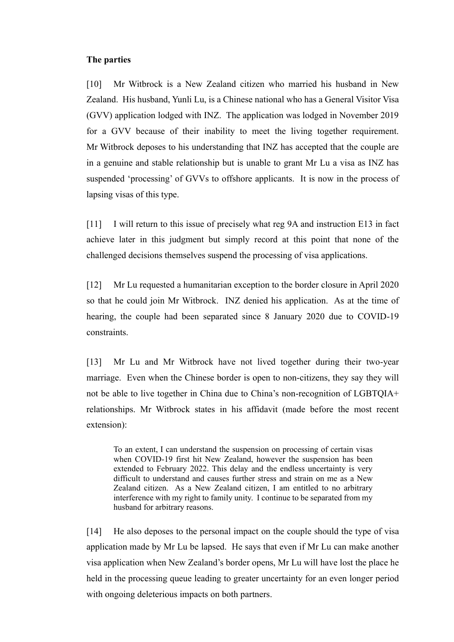#### <span id="page-4-0"></span>**The parties**

[10] Mr Witbrock is a New Zealand citizen who married his husband in New Zealand. His husband, Yunli Lu, is a Chinese national who has a General Visitor Visa (GVV) application lodged with INZ. The application was lodged in November 2019 for a GVV because of their inability to meet the living together requirement. Mr Witbrock deposes to his understanding that INZ has accepted that the couple are in a genuine and stable relationship but is unable to grant Mr Lu a visa as INZ has suspended 'processing' of GVVs to offshore applicants. It is now in the process of lapsing visas of this type.

[11] I will return to this issue of precisely what reg 9A and instruction E13 in fact achieve later in this judgment but simply record at this point that none of the challenged decisions themselves suspend the processing of visa applications.

[12] Mr Lu requested a humanitarian exception to the border closure in April 2020 so that he could join Mr Witbrock. INZ denied his application. As at the time of hearing, the couple had been separated since 8 January 2020 due to COVID-19 constraints.

[13] Mr Lu and Mr Witbrock have not lived together during their two-year marriage. Even when the Chinese border is open to non-citizens, they say they will not be able to live together in China due to China's non-recognition of LGBTQIA+ relationships. Mr Witbrock states in his affidavit (made before the most recent extension):

To an extent, I can understand the suspension on processing of certain visas when COVID-19 first hit New Zealand, however the suspension has been extended to February 2022. This delay and the endless uncertainty is very difficult to understand and causes further stress and strain on me as a New Zealand citizen. As a New Zealand citizen, I am entitled to no arbitrary interference with my right to family unity. I continue to be separated from my husband for arbitrary reasons.

[14] He also deposes to the personal impact on the couple should the type of visa application made by Mr Lu be lapsed. He says that even if Mr Lu can make another visa application when New Zealand's border opens, Mr Lu will have lost the place he held in the processing queue leading to greater uncertainty for an even longer period with ongoing deleterious impacts on both partners.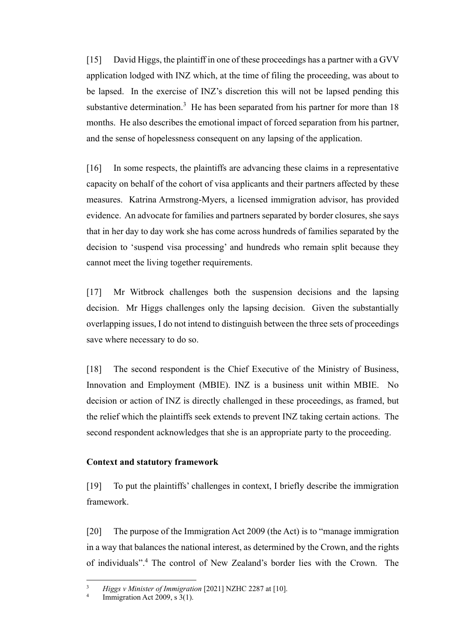[15] David Higgs, the plaintiff in one of these proceedings has a partner with a GVV application lodged with INZ which, at the time of filing the proceeding, was about to be lapsed. In the exercise of INZ's discretion this will not be lapsed pending this substantive determination.<sup>3</sup> He has been separated from his partner for more than  $18$ months. He also describes the emotional impact of forced separation from his partner, and the sense of hopelessness consequent on any lapsing of the application.

[16] In some respects, the plaintiffs are advancing these claims in a representative capacity on behalf of the cohort of visa applicants and their partners affected by these measures. Katrina Armstrong-Myers, a licensed immigration advisor, has provided evidence. An advocate for families and partners separated by border closures, she says that in her day to day work she has come across hundreds of families separated by the decision to 'suspend visa processing' and hundreds who remain split because they cannot meet the living together requirements.

[17] Mr Witbrock challenges both the suspension decisions and the lapsing decision. Mr Higgs challenges only the lapsing decision. Given the substantially overlapping issues, I do not intend to distinguish between the three sets of proceedings save where necessary to do so.

[18] The second respondent is the Chief Executive of the Ministry of Business, Innovation and Employment (MBIE). INZ is a business unit within MBIE. No decision or action of INZ is directly challenged in these proceedings, as framed, but the relief which the plaintiffs seek extends to prevent INZ taking certain actions. The second respondent acknowledges that she is an appropriate party to the proceeding.

### <span id="page-5-0"></span>**Context and statutory framework**

[19] To put the plaintiffs' challenges in context, I briefly describe the immigration framework.

[20] The purpose of the Immigration Act 2009 (the Act) is to "manage immigration in a way that balances the national interest, as determined by the Crown, and the rights of individuals".<sup>4</sup> The control of New Zealand's border lies with the Crown. The

<sup>3</sup> *Higgs v Minister of Immigration* [2021] NZHC 2287 at [10].

<sup>4</sup> Immigration Act 2009, s 3(1).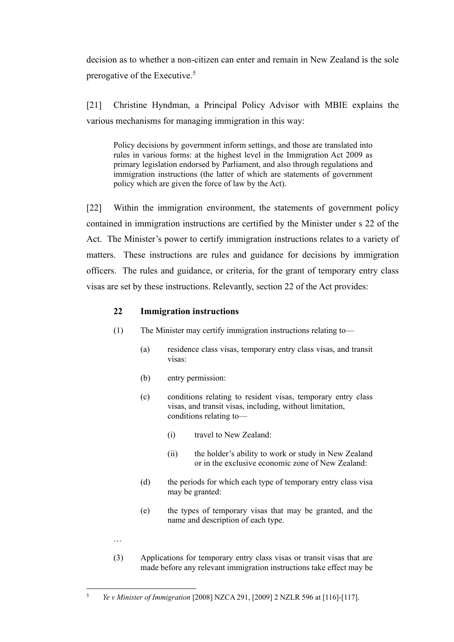decision as to whether a non-citizen can enter and remain in New Zealand is the sole prerogative of the Executive.<sup>5</sup>

[21] Christine Hyndman, a Principal Policy Advisor with MBIE explains the various mechanisms for managing immigration in this way:

Policy decisions by government inform settings, and those are translated into rules in various forms: at the highest level in the Immigration Act 2009 as primary legislation endorsed by Parliament, and also through regulations and immigration instructions (the latter of which are statements of government policy which are given the force of law by the Act).

[22] Within the immigration environment, the statements of government policy contained in immigration instructions are certified by the Minister under s 22 of the Act. The Minister's power to certify immigration instructions relates to a variety of matters. These instructions are rules and guidance for decisions by immigration officers. The rules and guidance, or criteria, for the grant of temporary entry class visas are set by these instructions. Relevantly, section 22 of the Act provides:

## **22 Immigration instructions**

- (1) The Minister may certify immigration instructions relating to—
	- (a) residence class visas, temporary entry class visas, and transit visas:
	- (b) entry permission:
	- (c) conditions relating to resident visas, temporary entry class visas, and transit visas, including, without limitation, conditions relating to—
		- (i) travel to New Zealand:
		- (ii) the holder's ability to work or study in New Zealand or in the exclusive economic zone of New Zealand:
	- (d) the periods for which each type of temporary entry class visa may be granted:
	- (e) the types of temporary visas that may be granted, and the name and description of each type.
- …
- (3) Applications for temporary entry class visas or transit visas that are made before any relevant immigration instructions take effect may be

<sup>5</sup> *Ye v Minister of Immigration* [2008] NZCA 291, [2009] 2 NZLR 596 at [116]-[117].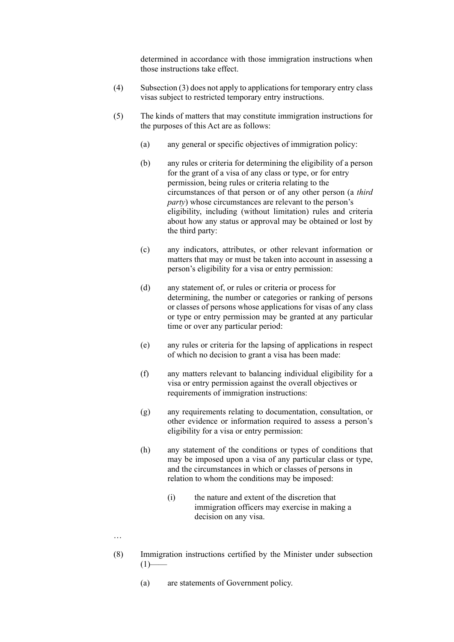determined in accordance with those immigration instructions when those instructions take effect.

- (4) Subsection (3) does not apply to applications for temporary entry class visas subject to restricted temporary entry instructions.
- (5) The kinds of matters that may constitute immigration instructions for the purposes of this Act are as follows:
	- (a) any general or specific objectives of immigration policy:
	- (b) any rules or criteria for determining the eligibility of a person for the grant of a visa of any class or type, or for entry permission, being rules or criteria relating to the circumstances of that person or of any other person (a *third party*) whose circumstances are relevant to the person's eligibility, including (without limitation) rules and criteria about how any status or approval may be obtained or lost by the third party:
	- (c) any indicators, attributes, or other relevant information or matters that may or must be taken into account in assessing a person's eligibility for a visa or entry permission:
	- (d) any statement of, or rules or criteria or process for determining, the number or categories or ranking of persons or classes of persons whose applications for visas of any class or type or entry permission may be granted at any particular time or over any particular period:
	- (e) any rules or criteria for the lapsing of applications in respect of which no decision to grant a visa has been made:
	- (f) any matters relevant to balancing individual eligibility for a visa or entry permission against the overall objectives or requirements of immigration instructions:
	- (g) any requirements relating to documentation, consultation, or other evidence or information required to assess a person's eligibility for a visa or entry permission:
	- (h) any statement of the conditions or types of conditions that may be imposed upon a visa of any particular class or type, and the circumstances in which or classes of persons in relation to whom the conditions may be imposed:
		- (i) the nature and extent of the discretion that immigration officers may exercise in making a decision on any visa.
- …
- (8) Immigration instructions certified by the Minister under subsection  $(1)$ 
	- (a) are statements of Government policy.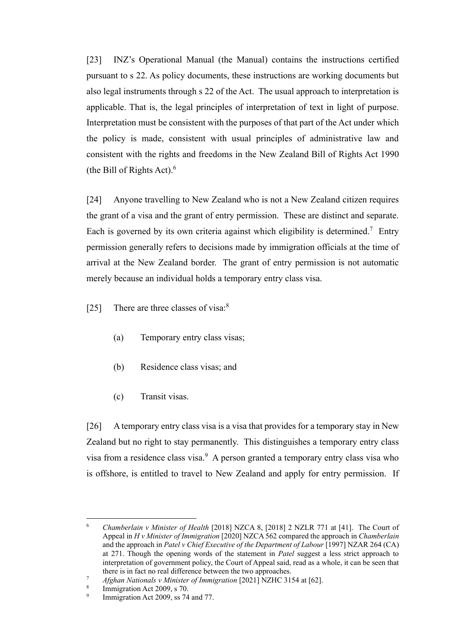[23] INZ's Operational Manual (the Manual) contains the instructions certified pursuant to s 22. As policy documents, these instructions are working documents but also legal instruments through s 22 of the Act. The usual approach to interpretation is applicable. That is, the legal principles of interpretation of text in light of purpose. Interpretation must be consistent with the purposes of that part of the Act under which the policy is made, consistent with usual principles of administrative law and consistent with the rights and freedoms in the New Zealand Bill of Rights Act 1990 (the Bill of Rights Act). $6\frac{1}{2}$ 

[24] Anyone travelling to New Zealand who is not a New Zealand citizen requires the grant of a visa and the grant of entry permission. These are distinct and separate. Each is governed by its own criteria against which eligibility is determined.<sup>7</sup> Entry permission generally refers to decisions made by immigration officials at the time of arrival at the New Zealand border. The grant of entry permission is not automatic merely because an individual holds a temporary entry class visa.

[25] There are three classes of visa:<sup>8</sup>

- (a) Temporary entry class visas;
- (b) Residence class visas; and
- (c) Transit visas.

[26] A temporary entry class visa is a visa that provides for a temporary stay in New Zealand but no right to stay permanently. This distinguishes a temporary entry class visa from a residence class visa.<sup>9</sup> A person granted a temporary entry class visa who is offshore, is entitled to travel to New Zealand and apply for entry permission. If

<sup>6</sup> *Chamberlain v Minister of Health* [2018] NZCA 8, [2018] 2 NZLR 771 at [41]. The Court of Appeal in *H v Minister of Immigration* [2020] NZCA 562 compared the approach in *Chamberlain* and the approach in *Patel v Chief Executive of the Department of Labour* [1997] NZAR 264 (CA) at 271. Though the opening words of the statement in *Patel* suggest a less strict approach to interpretation of government policy, the Court of Appeal said, read as a whole, it can be seen that there is in fact no real difference between the two approaches.

<sup>7</sup> *Afghan Nationals v Minister of Immigration* [2021] NZHC 3154 at [62].

<sup>8</sup> Immigration Act 2009, s 70.

<sup>9</sup> Immigration Act 2009, ss 74 and 77.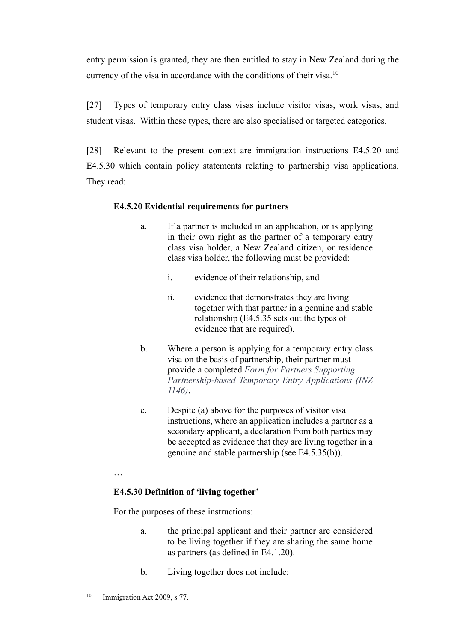entry permission is granted, they are then entitled to stay in New Zealand during the currency of the visa in accordance with the conditions of their visa.<sup>10</sup>

[27] Types of temporary entry class visas include visitor visas, work visas, and student visas. Within these types, there are also specialised or targeted categories.

[28] Relevant to the present context are immigration instructions E4.5.20 and E4.5.30 which contain policy statements relating to partnership visa applications. They read:

# **E4.5.20 Evidential requirements for partners**

- a. If a partner is included in an application, or is applying in their own right as the partner of a temporary entry class visa holder, a New Zealand citizen, or residence class visa holder, the following must be provided:
	- i. evidence of their relationship, and
	- ii. evidence that demonstrates they are living together with that partner in a genuine and stable relationship (E4.5.35 sets out the types of evidence that are required).
- b. Where a person is applying for a temporary entry class visa on the basis of partnership, their partner must provide a completed *Form for Partners Supporting Partnership-based Temporary Entry Applications (INZ 1146)*.
- c. Despite (a) above for the purposes of visitor visa instructions, where an application includes a partner as a secondary applicant, a declaration from both parties may be accepted as evidence that they are living together in a genuine and stable partnership (see E4.5.35(b)).

…

# **E4.5.30 Definition of 'living together'**

For the purposes of these instructions:

- a. the principal applicant and their partner are considered to be living together if they are sharing the same home as partners (as defined in E4.1.20).
- b. Living together does not include:

<sup>&</sup>lt;sup>10</sup> Immigration Act 2009, s 77.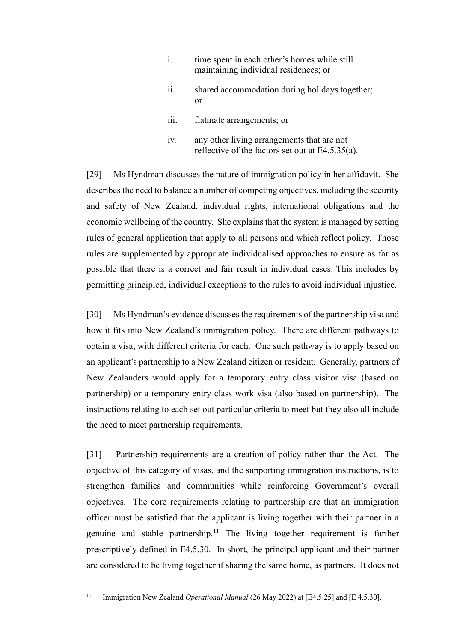- i. time spent in each other's homes while still maintaining individual residences; or
- ii. shared accommodation during holidays together; or
- iii. flatmate arrangements; or
- iv. any other living arrangements that are not reflective of the factors set out at E4.5.35(a).

[29] Ms Hyndman discusses the nature of immigration policy in her affidavit. She describes the need to balance a number of competing objectives, including the security and safety of New Zealand, individual rights, international obligations and the economic wellbeing of the country. She explains that the system is managed by setting rules of general application that apply to all persons and which reflect policy. Those rules are supplemented by appropriate individualised approaches to ensure as far as possible that there is a correct and fair result in individual cases. This includes by permitting principled, individual exceptions to the rules to avoid individual injustice.

[30] Ms Hyndman's evidence discusses the requirements of the partnership visa and how it fits into New Zealand's immigration policy. There are different pathways to obtain a visa, with different criteria for each. One such pathway is to apply based on an applicant's partnership to a New Zealand citizen or resident. Generally, partners of New Zealanders would apply for a temporary entry class visitor visa (based on partnership) or a temporary entry class work visa (also based on partnership). The instructions relating to each set out particular criteria to meet but they also all include the need to meet partnership requirements.

[31] Partnership requirements are a creation of policy rather than the Act. The objective of this category of visas, and the supporting immigration instructions, is to strengthen families and communities while reinforcing Government's overall objectives. The core requirements relating to partnership are that an immigration officer must be satisfied that the applicant is living together with their partner in a genuine and stable partnership.<sup>11</sup> The living together requirement is further prescriptively defined in E4.5.30. In short, the principal applicant and their partner are considered to be living together if sharing the same home, as partners. It does not

<sup>&</sup>lt;sup>11</sup> Immigration New Zealand *Operational Manual* (26 May 2022) at [E4.5.25] and [E 4.5.30].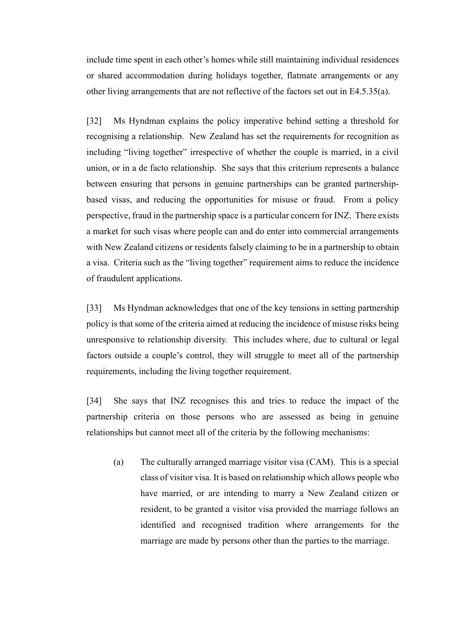include time spent in each other's homes while still maintaining individual residences or shared accommodation during holidays together, flatmate arrangements or any other living arrangements that are not reflective of the factors set out in E4.5.35(a).

[32] Ms Hyndman explains the policy imperative behind setting a threshold for recognising a relationship. New Zealand has set the requirements for recognition as including "living together" irrespective of whether the couple is married, in a civil union, or in a de facto relationship. She says that this criterium represents a balance between ensuring that persons in genuine partnerships can be granted partnershipbased visas, and reducing the opportunities for misuse or fraud. From a policy perspective, fraud in the partnership space is a particular concern for INZ. There exists a market for such visas where people can and do enter into commercial arrangements with New Zealand citizens or residents falsely claiming to be in a partnership to obtain a visa. Criteria such as the "living together" requirement aims to reduce the incidence of fraudulent applications.

[33] Ms Hyndman acknowledges that one of the key tensions in setting partnership policy is that some of the criteria aimed at reducing the incidence of misuse risks being unresponsive to relationship diversity. This includes where, due to cultural or legal factors outside a couple's control, they will struggle to meet all of the partnership requirements, including the living together requirement.

[34] She says that INZ recognises this and tries to reduce the impact of the partnership criteria on those persons who are assessed as being in genuine relationships but cannot meet all of the criteria by the following mechanisms:

(a) The culturally arranged marriage visitor visa (CAM). This is a special class of visitor visa. It is based on relationship which allows people who have married, or are intending to marry a New Zealand citizen or resident, to be granted a visitor visa provided the marriage follows an identified and recognised tradition where arrangements for the marriage are made by persons other than the parties to the marriage.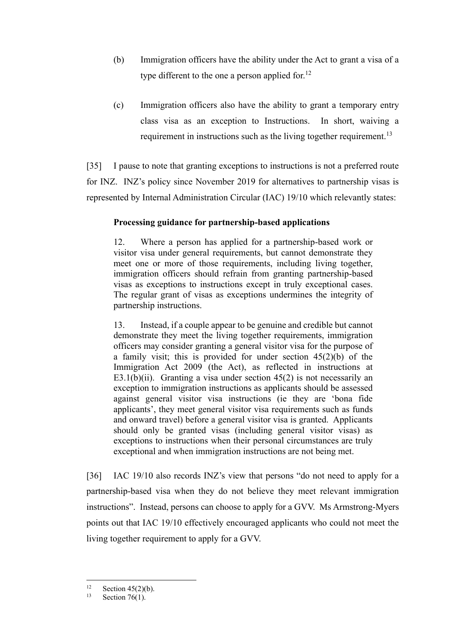- (b) Immigration officers have the ability under the Act to grant a visa of a type different to the one a person applied for.<sup>12</sup>
- (c) Immigration officers also have the ability to grant a temporary entry class visa as an exception to Instructions. In short, waiving a requirement in instructions such as the living together requirement.<sup>13</sup>

[35] I pause to note that granting exceptions to instructions is not a preferred route for INZ. INZ's policy since November 2019 for alternatives to partnership visas is represented by Internal Administration Circular (IAC) 19/10 which relevantly states:

### **Processing guidance for partnership-based applications**

12. Where a person has applied for a partnership-based work or visitor visa under general requirements, but cannot demonstrate they meet one or more of those requirements, including living together, immigration officers should refrain from granting partnership-based visas as exceptions to instructions except in truly exceptional cases. The regular grant of visas as exceptions undermines the integrity of partnership instructions.

13. Instead, if a couple appear to be genuine and credible but cannot demonstrate they meet the living together requirements, immigration officers may consider granting a general visitor visa for the purpose of a family visit; this is provided for under section  $45(2)(b)$  of the Immigration Act 2009 (the Act), as reflected in instructions at E3.1(b)(ii). Granting a visa under section  $45(2)$  is not necessarily an exception to immigration instructions as applicants should be assessed against general visitor visa instructions (ie they are 'bona fide applicants', they meet general visitor visa requirements such as funds and onward travel) before a general visitor visa is granted. Applicants should only be granted visas (including general visitor visas) as exceptions to instructions when their personal circumstances are truly exceptional and when immigration instructions are not being met.

[36] IAC 19/10 also records INZ's view that persons "do not need to apply for a partnership-based visa when they do not believe they meet relevant immigration instructions". Instead, persons can choose to apply for a GVV. Ms Armstrong-Myers points out that IAC 19/10 effectively encouraged applicants who could not meet the living together requirement to apply for a GVV.

<sup>&</sup>lt;sup>12</sup> Section 45(2)(b).<br><sup>13</sup> Section 76(1)

Section  $76(1)$ .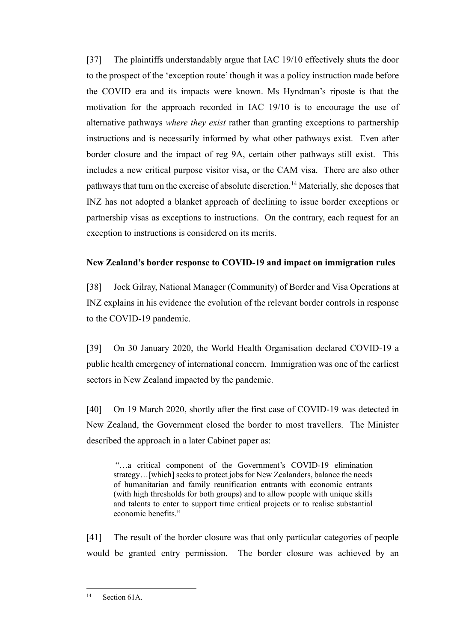[37] The plaintiffs understandably argue that IAC 19/10 effectively shuts the door to the prospect of the 'exception route' though it was a policy instruction made before the COVID era and its impacts were known. Ms Hyndman's riposte is that the motivation for the approach recorded in IAC 19/10 is to encourage the use of alternative pathways *where they exist* rather than granting exceptions to partnership instructions and is necessarily informed by what other pathways exist. Even after border closure and the impact of reg 9A, certain other pathways still exist. This includes a new critical purpose visitor visa, or the CAM visa. There are also other pathways that turn on the exercise of absolute discretion.<sup>14</sup> Materially, she deposes that INZ has not adopted a blanket approach of declining to issue border exceptions or partnership visas as exceptions to instructions. On the contrary, each request for an exception to instructions is considered on its merits.

# <span id="page-13-0"></span>**New Zealand's border response to COVID-19 and impact on immigration rules**

[38] Jock Gilray, National Manager (Community) of Border and Visa Operations at INZ explains in his evidence the evolution of the relevant border controls in response to the COVID-19 pandemic.

[39] On 30 January 2020, the World Health Organisation declared COVID-19 a public health emergency of international concern. Immigration was one of the earliest sectors in New Zealand impacted by the pandemic.

[40] On 19 March 2020, shortly after the first case of COVID-19 was detected in New Zealand, the Government closed the border to most travellers. The Minister described the approach in a later Cabinet paper as:

"…a critical component of the Government's COVID-19 elimination strategy…[which] seeks to protect jobs for New Zealanders, balance the needs of humanitarian and family reunification entrants with economic entrants (with high thresholds for both groups) and to allow people with unique skills and talents to enter to support time critical projects or to realise substantial economic benefits."

[41] The result of the border closure was that only particular categories of people would be granted entry permission. The border closure was achieved by an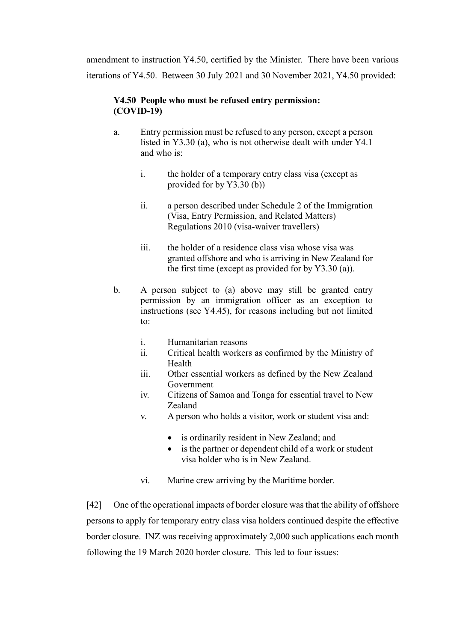amendment to instruction Y4.50, certified by the Minister. There have been various iterations of Y4.50. Between 30 July 2021 and 30 November 2021, Y4.50 provided:

# **Y4.50 People who must be refused entry permission: (COVID-19)**

- a. Entry permission must be refused to any person, except a person listed in Y3.30 (a), who is not otherwise dealt with under Y4.1 and who is:
	- i. the holder of a temporary entry class visa (except as provided for by Y3.30 (b))
	- ii. a person described under Schedule 2 of the Immigration (Visa, Entry Permission, and Related Matters) Regulations 2010 (visa-waiver travellers)
	- iii. the holder of a residence class visa whose visa was granted offshore and who is arriving in New Zealand for the first time (except as provided for by Y3.30 (a)).
- b. A person subject to (a) above may still be granted entry permission by an immigration officer as an exception to instructions (see Y4.45), for reasons including but not limited to:
	- i. Humanitarian reasons
	- ii. Critical health workers as confirmed by the Ministry of Health
	- iii. Other essential workers as defined by the New Zealand Government
	- iv. Citizens of Samoa and Tonga for essential travel to New Zealand
	- v. A person who holds a visitor, work or student visa and:
		- is ordinarily resident in New Zealand; and
		- is the partner or dependent child of a work or student visa holder who is in New Zealand.
	- vi. Marine crew arriving by the Maritime border.

[42] One of the operational impacts of border closure was that the ability of offshore persons to apply for temporary entry class visa holders continued despite the effective border closure. INZ was receiving approximately 2,000 such applications each month following the 19 March 2020 border closure. This led to four issues: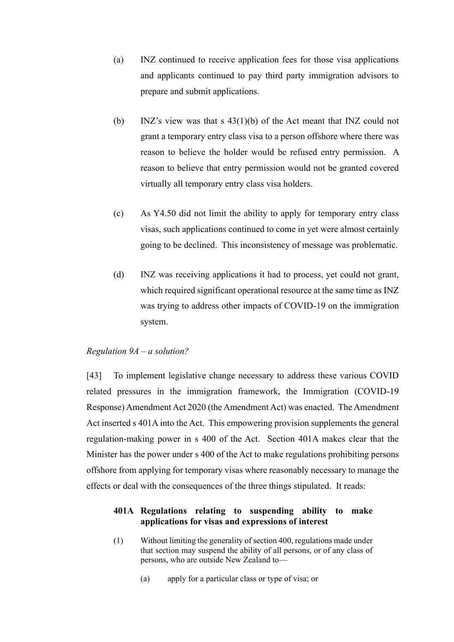- (a) INZ continued to receive application fees for those visa applications and applicants continued to pay third party immigration advisors to prepare and submit applications.
- (b) INZ's view was that s 43(1)(b) of the Act meant that INZ could not grant a temporary entry class visa to a person offshore where there was reason to believe the holder would be refused entry permission. A reason to believe that entry permission would not be granted covered virtually all temporary entry class visa holders.
- (c) As Y4.50 did not limit the ability to apply for temporary entry class visas, such applications continued to come in yet were almost certainly going to be declined. This inconsistency of message was problematic.
- (d) INZ was receiving applications it had to process, yet could not grant, which required significant operational resource at the same time as INZ was trying to address other impacts of COVID-19 on the immigration system.

#### <span id="page-15-0"></span>*Regulation 9A – a solution?*

[43] To implement legislative change necessary to address these various COVID related pressures in the immigration framework, the Immigration (COVID-19 Response) Amendment Act 2020 (the Amendment Act) was enacted. The Amendment Act inserted s 401A into the Act. This empowering provision supplements the general regulation-making power in s 400 of the Act. Section 401A makes clear that the Minister has the power under s 400 of the Act to make regulations prohibiting persons offshore from applying for temporary visas where reasonably necessary to manage the effects or deal with the consequences of the three things stipulated. It reads:

### **401A Regulations relating to suspending ability to make applications for visas and expressions of interest**

- (1) Without limiting the generality of section 400, regulations made under that section may suspend the ability of all persons, or of any class of persons, who are outside New Zealand to—
	- (a) apply for a particular class or type of visa; or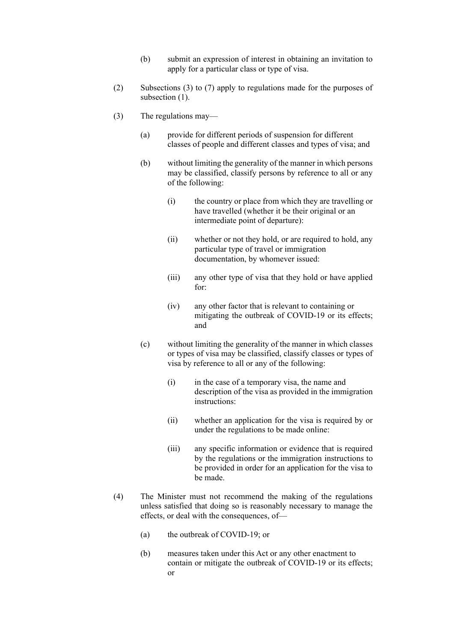- (b) submit an expression of interest in obtaining an invitation to apply for a particular class or type of visa.
- (2) Subsections (3) to (7) apply to regulations made for the purposes of subsection (1).
- (3) The regulations may—
	- (a) provide for different periods of suspension for different classes of people and different classes and types of visa; and
	- (b) without limiting the generality of the manner in which persons may be classified, classify persons by reference to all or any of the following:
		- (i) the country or place from which they are travelling or have travelled (whether it be their original or an intermediate point of departure):
		- (ii) whether or not they hold, or are required to hold, any particular type of travel or immigration documentation, by whomever issued:
		- (iii) any other type of visa that they hold or have applied for:
		- (iv) any other factor that is relevant to containing or mitigating the outbreak of COVID-19 or its effects; and
	- (c) without limiting the generality of the manner in which classes or types of visa may be classified, classify classes or types of visa by reference to all or any of the following:
		- (i) in the case of a temporary visa, the name and description of the visa as provided in the immigration instructions:
		- (ii) whether an application for the visa is required by or under the regulations to be made online:
		- (iii) any specific information or evidence that is required by the regulations or the immigration instructions to be provided in order for an application for the visa to be made.
- (4) The Minister must not recommend the making of the regulations unless satisfied that doing so is reasonably necessary to manage the effects, or deal with the consequences, of—
	- (a) the outbreak of COVID-19; or
	- (b) measures taken under this Act or any other enactment to contain or mitigate the outbreak of COVID-19 or its effects; or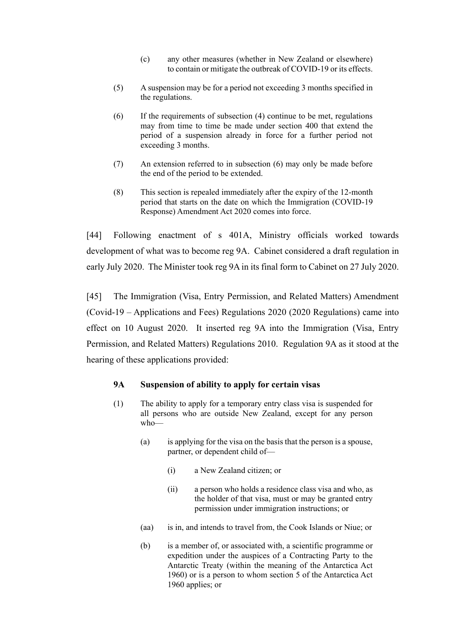- (c) any other measures (whether in New Zealand or elsewhere) to contain or mitigate the outbreak of COVID-19 or its effects.
- (5) A suspension may be for a period not exceeding 3 months specified in the regulations.
- (6) If the requirements of subsection (4) continue to be met, regulations may from time to time be made under section 400 that extend the period of a suspension already in force for a further period not exceeding 3 months.
- (7) An extension referred to in subsection (6) may only be made before the end of the period to be extended.
- (8) This section is repealed immediately after the expiry of the 12-month period that starts on the date on which the Immigration (COVID-19 Response) Amendment Act 2020 comes into force.

[44] Following enactment of s 401A, Ministry officials worked towards development of what was to become reg 9A. Cabinet considered a draft regulation in early July 2020. The Minister took reg 9A in its final form to Cabinet on 27 July 2020.

[45] The Immigration (Visa, Entry Permission, and Related Matters) Amendment (Covid-19 – Applications and Fees) Regulations 2020 (2020 Regulations) came into effect on 10 August 2020. It inserted reg 9A into the Immigration (Visa, Entry Permission, and Related Matters) Regulations 2010. Regulation 9A as it stood at the hearing of these applications provided:

### **9A Suspension of ability to apply for certain visas**

- (1) The ability to apply for a temporary entry class visa is suspended for all persons who are outside New Zealand, except for any person who—
	- (a) is applying for the visa on the basis that the person is a spouse, partner, or dependent child of—
		- (i) a New Zealand citizen; or
		- (ii) a person who holds a residence class visa and who, as the holder of that visa, must or may be granted entry permission under immigration instructions; or
	- (aa) is in, and intends to travel from, the Cook Islands or Niue; or
	- (b) is a member of, or associated with, a scientific programme or expedition under the auspices of a Contracting Party to the Antarctic Treaty (within the meaning of the Antarctica Act 1960) or is a person to whom section 5 of the Antarctica Act 1960 applies; or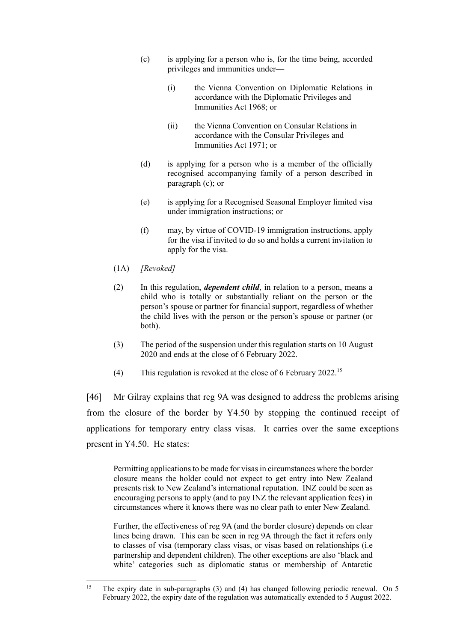- (c) is applying for a person who is, for the time being, accorded privileges and immunities under—
	- (i) the Vienna Convention on Diplomatic Relations in accordance with the Diplomatic Privileges and Immunities Act 1968; or
	- (ii) the Vienna Convention on Consular Relations in accordance with the Consular Privileges and Immunities Act 1971; or
- (d) is applying for a person who is a member of the officially recognised accompanying family of a person described in paragraph (c); or
- (e) is applying for a Recognised Seasonal Employer limited visa under immigration instructions; or
- (f) may, by virtue of COVID-19 immigration instructions, apply for the visa if invited to do so and holds a current invitation to apply for the visa.
- (1A) *[Revoked]*
- (2) In this regulation, *dependent child*, in relation to a person, means a child who is totally or substantially reliant on the person or the person's spouse or partner for financial support, regardless of whether the child lives with the person or the person's spouse or partner (or both).
- (3) The period of the suspension under this regulation starts on 10 August 2020 and ends at the close of 6 February 2022.
- (4) This regulation is revoked at the close of 6 February 2022.<sup>15</sup>

[46] Mr Gilray explains that reg 9A was designed to address the problems arising from the closure of the border by Y4.50 by stopping the continued receipt of applications for temporary entry class visas. It carries over the same exceptions present in Y4.50. He states:

Permitting applications to be made for visas in circumstances where the border closure means the holder could not expect to get entry into New Zealand presents risk to New Zealand's international reputation. INZ could be seen as encouraging persons to apply (and to pay INZ the relevant application fees) in circumstances where it knows there was no clear path to enter New Zealand.

Further, the effectiveness of reg 9A (and the border closure) depends on clear lines being drawn. This can be seen in reg 9A through the fact it refers only to classes of visa (temporary class visas, or visas based on relationships (i.e partnership and dependent children). The other exceptions are also 'black and white' categories such as diplomatic status or membership of Antarctic

<sup>&</sup>lt;sup>15</sup> The expiry date in sub-paragraphs (3) and (4) has changed following periodic renewal. On 5 February 2022, the expiry date of the regulation was automatically extended to 5 August 2022.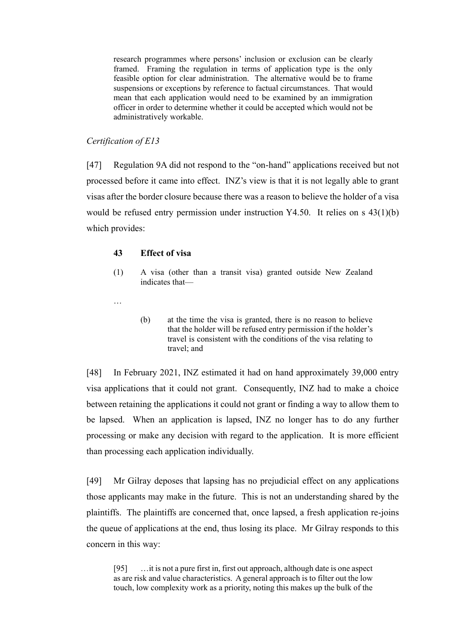research programmes where persons' inclusion or exclusion can be clearly framed. Framing the regulation in terms of application type is the only feasible option for clear administration. The alternative would be to frame suspensions or exceptions by reference to factual circumstances. That would mean that each application would need to be examined by an immigration officer in order to determine whether it could be accepted which would not be administratively workable.

#### <span id="page-19-0"></span>*Certification of E13*

[47] Regulation 9A did not respond to the "on-hand" applications received but not processed before it came into effect. INZ's view is that it is not legally able to grant visas after the border closure because there was a reason to believe the holder of a visa would be refused entry permission under instruction Y4.50. It relies on s 43(1)(b) which provides:

#### **43 Effect of visa**

- (1) A visa (other than a transit visa) granted outside New Zealand indicates that—
- …
- (b) at the time the visa is granted, there is no reason to believe that the holder will be refused entry permission if the holder's travel is consistent with the conditions of the visa relating to travel; and

[48] In February 2021, INZ estimated it had on hand approximately 39,000 entry visa applications that it could not grant. Consequently, INZ had to make a choice between retaining the applications it could not grant or finding a way to allow them to be lapsed. When an application is lapsed, INZ no longer has to do any further processing or make any decision with regard to the application. It is more efficient than processing each application individually.

[49] Mr Gilray deposes that lapsing has no prejudicial effect on any applications those applicants may make in the future. This is not an understanding shared by the plaintiffs. The plaintiffs are concerned that, once lapsed, a fresh application re-joins the queue of applications at the end, thus losing its place. Mr Gilray responds to this concern in this way:

[95] …it is not a pure first in, first out approach, although date is one aspect as are risk and value characteristics. A general approach is to filter out the low touch, low complexity work as a priority, noting this makes up the bulk of the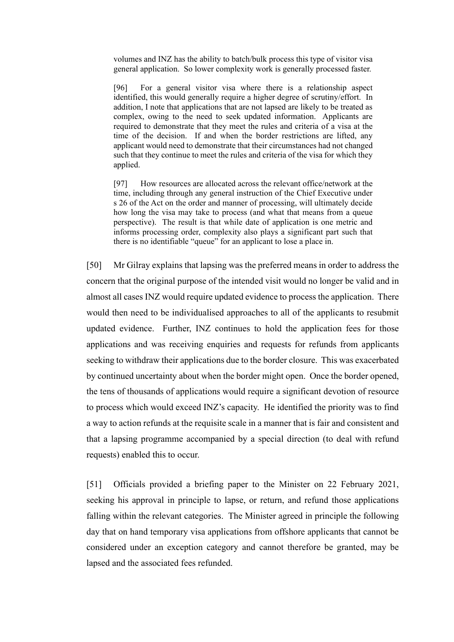volumes and INZ has the ability to batch/bulk process this type of visitor visa general application. So lower complexity work is generally processed faster.

[96] For a general visitor visa where there is a relationship aspect identified, this would generally require a higher degree of scrutiny/effort. In addition, I note that applications that are not lapsed are likely to be treated as complex, owing to the need to seek updated information. Applicants are required to demonstrate that they meet the rules and criteria of a visa at the time of the decision. If and when the border restrictions are lifted, any applicant would need to demonstrate that their circumstances had not changed such that they continue to meet the rules and criteria of the visa for which they applied.

[97] How resources are allocated across the relevant office/network at the time, including through any general instruction of the Chief Executive under s 26 of the Act on the order and manner of processing, will ultimately decide how long the visa may take to process (and what that means from a queue perspective). The result is that while date of application is one metric and informs processing order, complexity also plays a significant part such that there is no identifiable "queue" for an applicant to lose a place in.

[50] Mr Gilray explains that lapsing was the preferred means in order to address the concern that the original purpose of the intended visit would no longer be valid and in almost all cases INZ would require updated evidence to process the application. There would then need to be individualised approaches to all of the applicants to resubmit updated evidence. Further, INZ continues to hold the application fees for those applications and was receiving enquiries and requests for refunds from applicants seeking to withdraw their applications due to the border closure. This was exacerbated by continued uncertainty about when the border might open. Once the border opened, the tens of thousands of applications would require a significant devotion of resource to process which would exceed INZ's capacity. He identified the priority was to find a way to action refunds at the requisite scale in a manner that is fair and consistent and that a lapsing programme accompanied by a special direction (to deal with refund requests) enabled this to occur.

[51] Officials provided a briefing paper to the Minister on 22 February 2021, seeking his approval in principle to lapse, or return, and refund those applications falling within the relevant categories. The Minister agreed in principle the following day that on hand temporary visa applications from offshore applicants that cannot be considered under an exception category and cannot therefore be granted, may be lapsed and the associated fees refunded.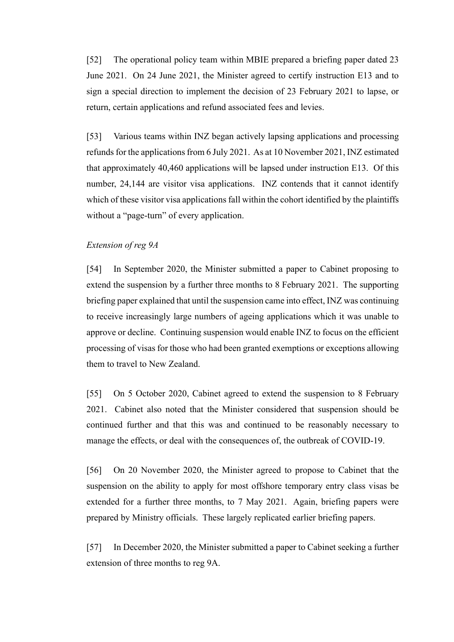[52] The operational policy team within MBIE prepared a briefing paper dated 23 June 2021. On 24 June 2021, the Minister agreed to certify instruction E13 and to sign a special direction to implement the decision of 23 February 2021 to lapse, or return, certain applications and refund associated fees and levies.

[53] Various teams within INZ began actively lapsing applications and processing refunds for the applications from 6 July 2021. As at 10 November 2021, INZ estimated that approximately 40,460 applications will be lapsed under instruction E13. Of this number, 24,144 are visitor visa applications. INZ contends that it cannot identify which of these visitor visa applications fall within the cohort identified by the plaintiffs without a "page-turn" of every application.

#### <span id="page-21-0"></span>*Extension of reg 9A*

[54] In September 2020, the Minister submitted a paper to Cabinet proposing to extend the suspension by a further three months to 8 February 2021. The supporting briefing paper explained that until the suspension came into effect, INZ was continuing to receive increasingly large numbers of ageing applications which it was unable to approve or decline. Continuing suspension would enable INZ to focus on the efficient processing of visas for those who had been granted exemptions or exceptions allowing them to travel to New Zealand.

[55] On 5 October 2020, Cabinet agreed to extend the suspension to 8 February 2021. Cabinet also noted that the Minister considered that suspension should be continued further and that this was and continued to be reasonably necessary to manage the effects, or deal with the consequences of, the outbreak of COVID-19.

[56] On 20 November 2020, the Minister agreed to propose to Cabinet that the suspension on the ability to apply for most offshore temporary entry class visas be extended for a further three months, to 7 May 2021. Again, briefing papers were prepared by Ministry officials. These largely replicated earlier briefing papers.

[57] In December 2020, the Minister submitted a paper to Cabinet seeking a further extension of three months to reg 9A.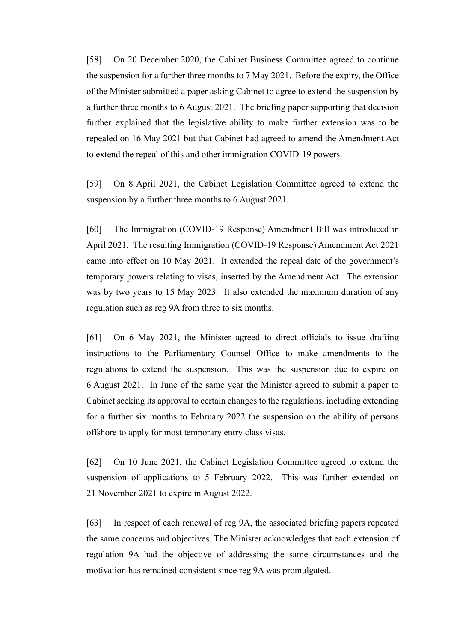[58] On 20 December 2020, the Cabinet Business Committee agreed to continue the suspension for a further three months to 7 May 2021. Before the expiry, the Office of the Minister submitted a paper asking Cabinet to agree to extend the suspension by a further three months to 6 August 2021. The briefing paper supporting that decision further explained that the legislative ability to make further extension was to be repealed on 16 May 2021 but that Cabinet had agreed to amend the Amendment Act to extend the repeal of this and other immigration COVID-19 powers.

[59] On 8 April 2021, the Cabinet Legislation Committee agreed to extend the suspension by a further three months to 6 August 2021.

[60] The Immigration (COVID-19 Response) Amendment Bill was introduced in April 2021. The resulting Immigration (COVID-19 Response) Amendment Act 2021 came into effect on 10 May 2021. It extended the repeal date of the government's temporary powers relating to visas, inserted by the Amendment Act. The extension was by two years to 15 May 2023. It also extended the maximum duration of any regulation such as reg 9A from three to six months.

[61] On 6 May 2021, the Minister agreed to direct officials to issue drafting instructions to the Parliamentary Counsel Office to make amendments to the regulations to extend the suspension. This was the suspension due to expire on 6 August 2021. In June of the same year the Minister agreed to submit a paper to Cabinet seeking its approval to certain changes to the regulations, including extending for a further six months to February 2022 the suspension on the ability of persons offshore to apply for most temporary entry class visas.

[62] On 10 June 2021, the Cabinet Legislation Committee agreed to extend the suspension of applications to 5 February 2022. This was further extended on 21 November 2021 to expire in August 2022.

[63] In respect of each renewal of reg 9A, the associated briefing papers repeated the same concerns and objectives. The Minister acknowledges that each extension of regulation 9A had the objective of addressing the same circumstances and the motivation has remained consistent since reg 9A was promulgated.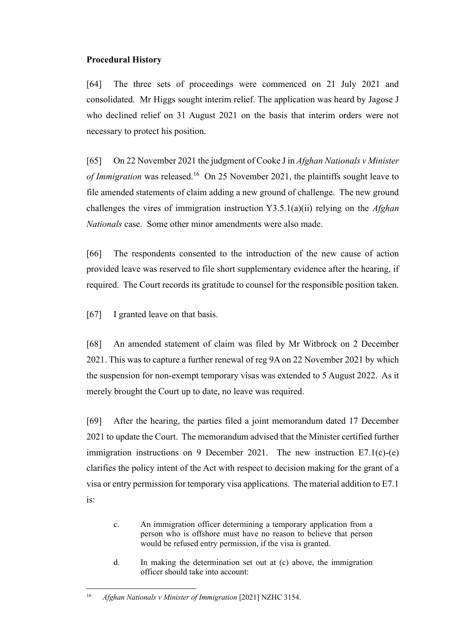## <span id="page-23-0"></span>**Procedural History**

[64] The three sets of proceedings were commenced on 21 July 2021 and consolidated. Mr Higgs sought interim relief. The application was heard by Jagose J who declined relief on 31 August 2021 on the basis that interim orders were not necessary to protect his position.

[65] On 22 November 2021 the judgment of Cooke J in *Afghan Nationals v Minister*  of Immigration was released.<sup>16</sup> On 25 November 2021, the plaintiffs sought leave to file amended statements of claim adding a new ground of challenge. The new ground challenges the vires of immigration instruction Y3.5.1(a)(ii) relying on the *Afghan Nationals* case. Some other minor amendments were also made.

[66] The respondents consented to the introduction of the new cause of action provided leave was reserved to file short supplementary evidence after the hearing, if required. The Court records its gratitude to counsel for the responsible position taken.

[67] I granted leave on that basis.

[68] An amended statement of claim was filed by Mr Witbrock on 2 December 2021. This was to capture a further renewal of reg 9A on 22 November 2021 by which the suspension for non-exempt temporary visas was extended to 5 August 2022. As it merely brought the Court up to date, no leave was required.

[69] After the hearing, the parties filed a joint memorandum dated 17 December 2021 to update the Court. The memorandum advised that the Minister certified further immigration instructions on 9 December 2021. The new instruction E7.1(c)-(e) clarifies the policy intent of the Act with respect to decision making for the grant of a visa or entry permission for temporary visa applications. The material addition to E7.1 is:

- c. An immigration officer determining a temporary application from a person who is offshore must have no reason to believe that person would be refused entry permission, if the visa is granted.
- d. In making the determination set out at (c) above, the immigration officer should take into account:

<sup>16</sup> *Afghan Nationals v Minister of Immigration* [2021] NZHC 3154.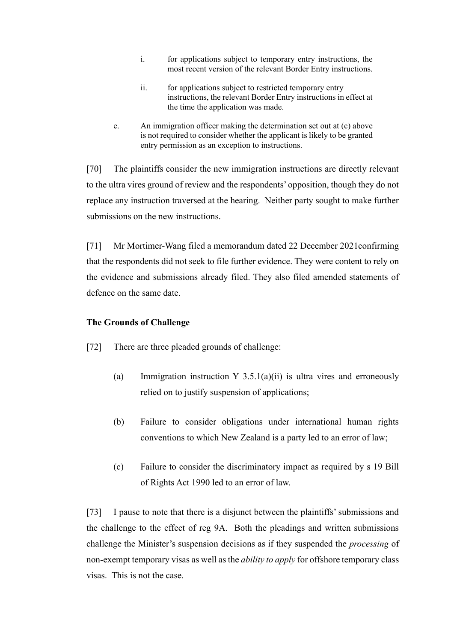- i. for applications subject to temporary entry instructions, the most recent version of the relevant Border Entry instructions.
- ii. for applications subject to restricted temporary entry instructions, the relevant Border Entry instructions in effect at the time the application was made.
- e. An immigration officer making the determination set out at (c) above is not required to consider whether the applicant is likely to be granted entry permission as an exception to instructions.

[70] The plaintiffs consider the new immigration instructions are directly relevant to the ultra vires ground of review and the respondents' opposition, though they do not replace any instruction traversed at the hearing. Neither party sought to make further submissions on the new instructions.

[71] Mr Mortimer-Wang filed a memorandum dated 22 December 2021confirming that the respondents did not seek to file further evidence. They were content to rely on the evidence and submissions already filed. They also filed amended statements of defence on the same date.

### <span id="page-24-0"></span>**The Grounds of Challenge**

[72] There are three pleaded grounds of challenge:

- (a) Immigration instruction Y 3.5.1(a)(ii) is ultra vires and erroneously relied on to justify suspension of applications;
- (b) Failure to consider obligations under international human rights conventions to which New Zealand is a party led to an error of law;
- (c) Failure to consider the discriminatory impact as required by s 19 Bill of Rights Act 1990 led to an error of law.

[73] I pause to note that there is a disjunct between the plaintiffs' submissions and the challenge to the effect of reg 9A. Both the pleadings and written submissions challenge the Minister's suspension decisions as if they suspended the *processing* of non-exempt temporary visas as well as the *ability to apply* for offshore temporary class visas. This is not the case.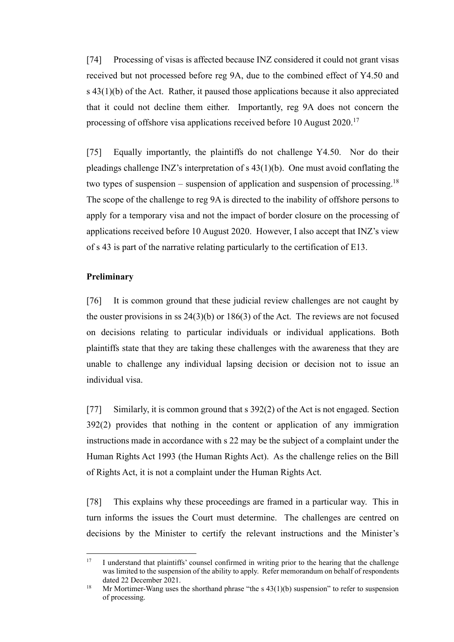[74] Processing of visas is affected because INZ considered it could not grant visas received but not processed before reg 9A, due to the combined effect of Y4.50 and  $s$  43(1)(b) of the Act. Rather, it paused those applications because it also appreciated that it could not decline them either. Importantly, reg 9A does not concern the processing of offshore visa applications received before 10 August 2020.<sup>17</sup>

[75] Equally importantly, the plaintiffs do not challenge Y4.50. Nor do their pleadings challenge INZ's interpretation of s 43(1)(b). One must avoid conflating the two types of suspension – suspension of application and suspension of processing.<sup>18</sup> The scope of the challenge to reg 9A is directed to the inability of offshore persons to apply for a temporary visa and not the impact of border closure on the processing of applications received before 10 August 2020. However, I also accept that INZ's view of s 43 is part of the narrative relating particularly to the certification of E13.

#### <span id="page-25-0"></span>**Preliminary**

[76] It is common ground that these judicial review challenges are not caught by the ouster provisions in ss  $24(3)(b)$  or  $186(3)$  of the Act. The reviews are not focused on decisions relating to particular individuals or individual applications. Both plaintiffs state that they are taking these challenges with the awareness that they are unable to challenge any individual lapsing decision or decision not to issue an individual visa.

[77] Similarly, it is common ground that s 392(2) of the Act is not engaged. Section 392(2) provides that nothing in the content or application of any immigration instructions made in accordance with s 22 may be the subject of a complaint under the Human Rights Act 1993 (the Human Rights Act). As the challenge relies on the Bill of Rights Act, it is not a complaint under the Human Rights Act.

[78] This explains why these proceedings are framed in a particular way. This in turn informs the issues the Court must determine. The challenges are centred on decisions by the Minister to certify the relevant instructions and the Minister's

<sup>&</sup>lt;sup>17</sup> I understand that plaintiffs' counsel confirmed in writing prior to the hearing that the challenge was limited to the suspension of the ability to apply. Refer memorandum on behalf of respondents dated 22 December 2021.

<sup>&</sup>lt;sup>18</sup> Mr Mortimer-Wang uses the shorthand phrase "the s  $43(1)(b)$  suspension" to refer to suspension of processing.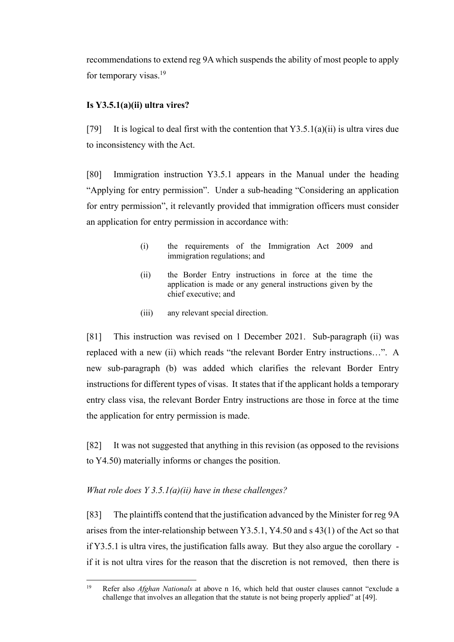recommendations to extend reg 9A which suspends the ability of most people to apply for temporary visas.<sup>19</sup>

## <span id="page-26-0"></span>**Is Y3.5.1(a)(ii) ultra vires?**

[79] It is logical to deal first with the contention that  $Y3.5.1(a)(ii)$  is ultra vires due to inconsistency with the Act.

[80] Immigration instruction Y3.5.1 appears in the Manual under the heading "Applying for entry permission". Under a sub-heading "Considering an application for entry permission", it relevantly provided that immigration officers must consider an application for entry permission in accordance with:

- (i) the requirements of the Immigration Act 2009 and immigration regulations; and
- (ii) the Border Entry instructions in force at the time the application is made or any general instructions given by the chief executive; and
- (iii) any relevant special direction.

[81] This instruction was revised on 1 December 2021. Sub-paragraph (ii) was replaced with a new (ii) which reads "the relevant Border Entry instructions…". A new sub-paragraph (b) was added which clarifies the relevant Border Entry instructions for different types of visas. It states that if the applicant holds a temporary entry class visa, the relevant Border Entry instructions are those in force at the time the application for entry permission is made.

[82] It was not suggested that anything in this revision (as opposed to the revisions to Y4.50) materially informs or changes the position.

### <span id="page-26-1"></span>*What role does Y 3.5.1(a)(ii) have in these challenges?*

[83] The plaintiffs contend that the justification advanced by the Minister for reg 9A arises from the inter-relationship between Y3.5.1, Y4.50 and s 43(1) of the Act so that if Y3.5.1 is ultra vires, the justification falls away. But they also argue the corollary if it is not ultra vires for the reason that the discretion is not removed, then there is

<sup>19</sup> Refer also *Afghan Nationals* at above n 16, which held that ouster clauses cannot "exclude a challenge that involves an allegation that the statute is not being properly applied" at [49].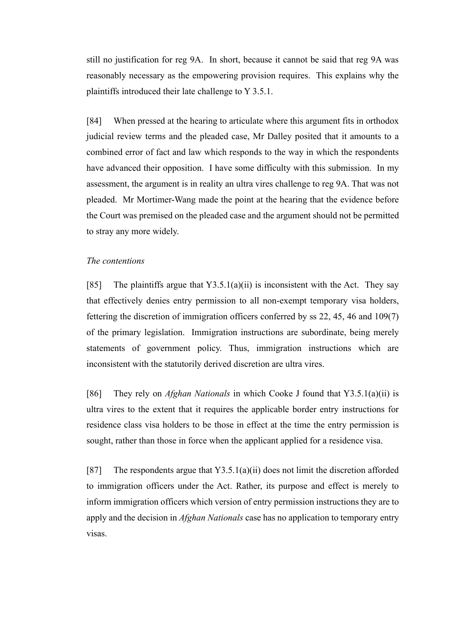still no justification for reg 9A. In short, because it cannot be said that reg 9A was reasonably necessary as the empowering provision requires. This explains why the plaintiffs introduced their late challenge to Y 3.5.1.

[84] When pressed at the hearing to articulate where this argument fits in orthodox judicial review terms and the pleaded case, Mr Dalley posited that it amounts to a combined error of fact and law which responds to the way in which the respondents have advanced their opposition. I have some difficulty with this submission. In my assessment, the argument is in reality an ultra vires challenge to reg 9A. That was not pleaded. Mr Mortimer-Wang made the point at the hearing that the evidence before the Court was premised on the pleaded case and the argument should not be permitted to stray any more widely.

#### <span id="page-27-0"></span>*The contentions*

[85] The plaintiffs argue that  $Y3.5.1(a)(ii)$  is inconsistent with the Act. They say that effectively denies entry permission to all non-exempt temporary visa holders, fettering the discretion of immigration officers conferred by ss 22, 45, 46 and 109(7) of the primary legislation. Immigration instructions are subordinate, being merely statements of government policy. Thus, immigration instructions which are inconsistent with the statutorily derived discretion are ultra vires.

[86] They rely on *Afghan Nationals* in which Cooke J found that Y3.5.1(a)(ii) is ultra vires to the extent that it requires the applicable border entry instructions for residence class visa holders to be those in effect at the time the entry permission is sought, rather than those in force when the applicant applied for a residence visa.

[87] The respondents argue that  $Y3.5.1(a)(ii)$  does not limit the discretion afforded to immigration officers under the Act. Rather, its purpose and effect is merely to inform immigration officers which version of entry permission instructions they are to apply and the decision in *Afghan Nationals* case has no application to temporary entry visas.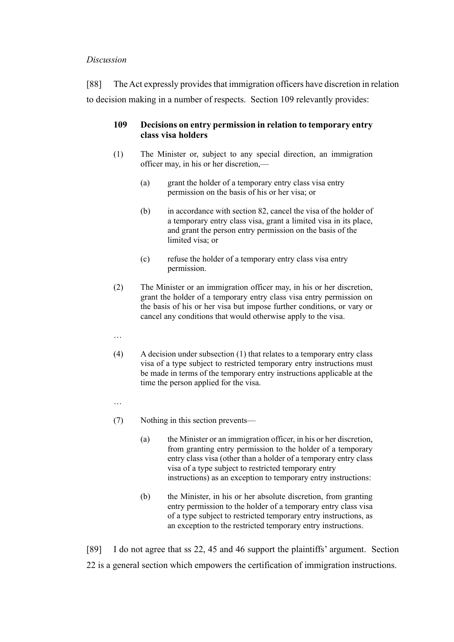#### <span id="page-28-0"></span>*Discussion*

[88] The Act expressly provides that immigration officers have discretion in relation to decision making in a number of respects. Section 109 relevantly provides:

## **109 Decisions on entry permission in relation to temporary entry class visa holders**

- (1) The Minister or, subject to any special direction, an immigration officer may, in his or her discretion,—
	- (a) grant the holder of a temporary entry class visa entry permission on the basis of his or her visa; or
	- (b) in accordance with section 82, cancel the visa of the holder of a temporary entry class visa, grant a limited visa in its place, and grant the person entry permission on the basis of the limited visa; or
	- (c) refuse the holder of a temporary entry class visa entry permission.
- (2) The Minister or an immigration officer may, in his or her discretion, grant the holder of a temporary entry class visa entry permission on the basis of his or her visa but impose further conditions, or vary or cancel any conditions that would otherwise apply to the visa.
- …
- (4) A decision under subsection (1) that relates to a temporary entry class visa of a type subject to restricted temporary entry instructions must be made in terms of the temporary entry instructions applicable at the time the person applied for the visa.
- …
- (7) Nothing in this section prevents—
	- (a) the Minister or an immigration officer, in his or her discretion, from granting entry permission to the holder of a temporary entry class visa (other than a holder of a temporary entry class visa of a type subject to restricted temporary entry instructions) as an exception to temporary entry instructions:
	- (b) the Minister, in his or her absolute discretion, from granting entry permission to the holder of a temporary entry class visa of a type subject to restricted temporary entry instructions, as an exception to the restricted temporary entry instructions.

[89] I do not agree that ss 22, 45 and 46 support the plaintiffs' argument. Section 22 is a general section which empowers the certification of immigration instructions.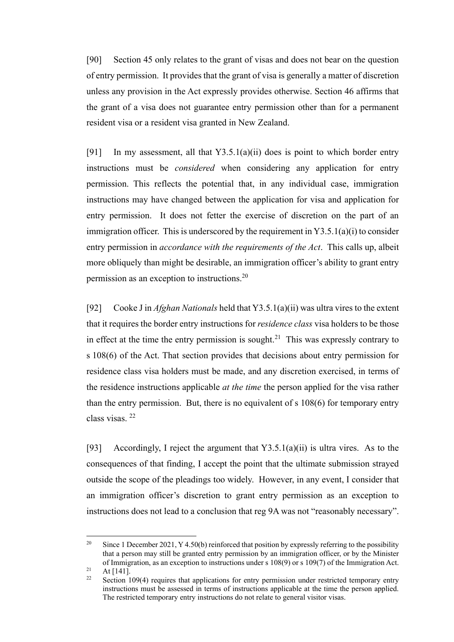[90] Section 45 only relates to the grant of visas and does not bear on the question of entry permission. It provides that the grant of visa is generally a matter of discretion unless any provision in the Act expressly provides otherwise. Section 46 affirms that the grant of a visa does not guarantee entry permission other than for a permanent resident visa or a resident visa granted in New Zealand.

[91] In my assessment, all that  $Y3.5.1(a)(ii)$  does is point to which border entry instructions must be *considered* when considering any application for entry permission. This reflects the potential that, in any individual case, immigration instructions may have changed between the application for visa and application for entry permission. It does not fetter the exercise of discretion on the part of an immigration officer. This is underscored by the requirement in  $Y3.5.1(a)(i)$  to consider entry permission in *accordance with the requirements of the Act*. This calls up, albeit more obliquely than might be desirable, an immigration officer's ability to grant entry permission as an exception to instructions.<sup>20</sup>

[92] Cooke J in *Afghan Nationals* held that Y3.5.1(a)(ii) was ultra vires to the extent that it requires the border entry instructions for *residence class* visa holders to be those in effect at the time the entry permission is sought.<sup>21</sup> This was expressly contrary to s 108(6) of the Act. That section provides that decisions about entry permission for residence class visa holders must be made, and any discretion exercised, in terms of the residence instructions applicable *at the time* the person applied for the visa rather than the entry permission. But, there is no equivalent of s 108(6) for temporary entry class visas. <sup>22</sup>

[93] Accordingly, I reject the argument that Y3.5.1(a)(ii) is ultra vires. As to the consequences of that finding, I accept the point that the ultimate submission strayed outside the scope of the pleadings too widely. However, in any event, I consider that an immigration officer's discretion to grant entry permission as an exception to instructions does not lead to a conclusion that reg 9A was not "reasonably necessary".

<sup>&</sup>lt;sup>20</sup> Since 1 December 2021, Y 4.50(b) reinforced that position by expressly referring to the possibility that a person may still be granted entry permission by an immigration officer, or by the Minister of Immigration, as an exception to instructions under s 108(9) or s 109(7) of the Immigration Act.

 $21$  At [141].

Section 109(4) requires that applications for entry permission under restricted temporary entry instructions must be assessed in terms of instructions applicable at the time the person applied. The restricted temporary entry instructions do not relate to general visitor visas.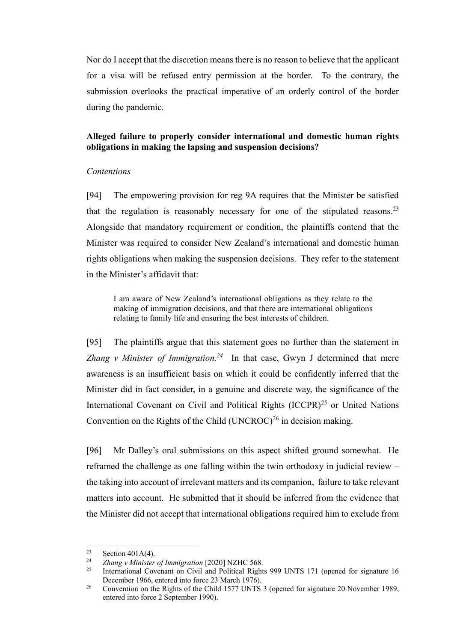Nor do I accept that the discretion means there is no reason to believe that the applicant for a visa will be refused entry permission at the border. To the contrary, the submission overlooks the practical imperative of an orderly control of the border during the pandemic.

## <span id="page-30-0"></span>**Alleged failure to properly consider international and domestic human rights obligations in making the lapsing and suspension decisions?**

#### <span id="page-30-1"></span>*Contentions*

[94] The empowering provision for reg 9A requires that the Minister be satisfied that the regulation is reasonably necessary for one of the stipulated reasons.<sup>23</sup> Alongside that mandatory requirement or condition, the plaintiffs contend that the Minister was required to consider New Zealand's international and domestic human rights obligations when making the suspension decisions. They refer to the statement in the Minister's affidavit that:

I am aware of New Zealand's international obligations as they relate to the making of immigration decisions, and that there are international obligations relating to family life and ensuring the best interests of children.

[95] The plaintiffs argue that this statement goes no further than the statement in *Zhang v Minister of Immigration.*<sup>24</sup> In that case, Gwyn J determined that mere awareness is an insufficient basis on which it could be confidently inferred that the Minister did in fact consider, in a genuine and discrete way, the significance of the International Covenant on Civil and Political Rights  $(ICCPR)^{25}$  or United Nations Convention on the Rights of the Child  $(UNCROC)^{26}$  in decision making.

[96] Mr Dalley's oral submissions on this aspect shifted ground somewhat. He reframed the challenge as one falling within the twin orthodoxy in judicial review – the taking into account of irrelevant matters and its companion, failure to take relevant matters into account. He submitted that it should be inferred from the evidence that the Minister did not accept that international obligations required him to exclude from

<sup>&</sup>lt;sup>23</sup> Section 401A(4).<br><sup>24</sup> Zhang y Minister

<sup>24</sup> *Zhang v Minister of Immigration* [2020] NZHC 568.

International Covenant on Civil and Political Rights 999 UNTS 171 (opened for signature 16 December 1966, entered into force 23 March 1976).

<sup>&</sup>lt;sup>26</sup> Convention on the Rights of the Child 1577 UNTS 3 (opened for signature 20 November 1989, entered into force 2 September 1990).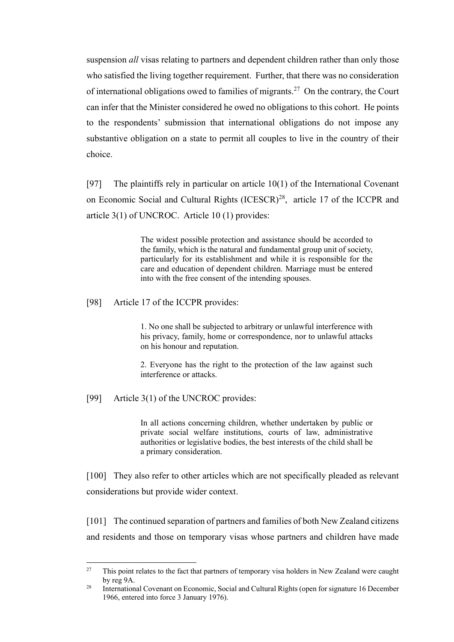suspension *all* visas relating to partners and dependent children rather than only those who satisfied the living together requirement. Further, that there was no consideration of international obligations owed to families of migrants.<sup>27</sup> On the contrary, the Court can infer that the Minister considered he owed no obligations to this cohort. He points to the respondents' submission that international obligations do not impose any substantive obligation on a state to permit all couples to live in the country of their choice.

[97] The plaintiffs rely in particular on article  $10(1)$  of the International Covenant on Economic Social and Cultural Rights (ICESCR)<sup>28</sup>, article 17 of the ICCPR and article 3(1) of UNCROC. Article 10 (1) provides:

> The widest possible protection and assistance should be accorded to the family, which is the natural and fundamental group unit of society, particularly for its establishment and while it is responsible for the care and education of dependent children. Marriage must be entered into with the free consent of the intending spouses.

[98] Article 17 of the ICCPR provides:

1. No one shall be subjected to arbitrary or unlawful interference with his privacy, family, home or correspondence, nor to unlawful attacks on his honour and reputation.

2. Everyone has the right to the protection of the law against such interference or attacks.

[99] Article 3(1) of the UNCROC provides:

In all actions concerning children, whether undertaken by public or private social welfare institutions, courts of law, administrative authorities or legislative bodies, the best interests of the child shall be a primary consideration.

[100] They also refer to other articles which are not specifically pleaded as relevant considerations but provide wider context.

[101] The continued separation of partners and families of both New Zealand citizens and residents and those on temporary visas whose partners and children have made

<sup>&</sup>lt;sup>27</sup> This point relates to the fact that partners of temporary visa holders in New Zealand were caught by reg 9A.

<sup>&</sup>lt;sup>28</sup> International Covenant on Economic, Social and Cultural Rights (open for signature 16 December 1966, entered into force 3 January 1976).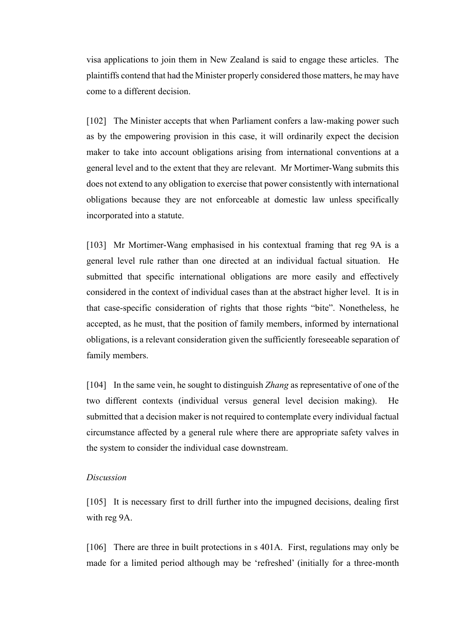visa applications to join them in New Zealand is said to engage these articles. The plaintiffs contend that had the Minister properly considered those matters, he may have come to a different decision.

[102] The Minister accepts that when Parliament confers a law-making power such as by the empowering provision in this case, it will ordinarily expect the decision maker to take into account obligations arising from international conventions at a general level and to the extent that they are relevant. Mr Mortimer-Wang submits this does not extend to any obligation to exercise that power consistently with international obligations because they are not enforceable at domestic law unless specifically incorporated into a statute.

[103] Mr Mortimer-Wang emphasised in his contextual framing that reg 9A is a general level rule rather than one directed at an individual factual situation. He submitted that specific international obligations are more easily and effectively considered in the context of individual cases than at the abstract higher level. It is in that case-specific consideration of rights that those rights "bite". Nonetheless, he accepted, as he must, that the position of family members, informed by international obligations, is a relevant consideration given the sufficiently foreseeable separation of family members.

[104] In the same vein, he sought to distinguish *Zhang* as representative of one of the two different contexts (individual versus general level decision making). He submitted that a decision maker is not required to contemplate every individual factual circumstance affected by a general rule where there are appropriate safety valves in the system to consider the individual case downstream.

#### <span id="page-32-0"></span>*Discussion*

[105] It is necessary first to drill further into the impugned decisions, dealing first with reg 9A.

[106] There are three in built protections in s 401A. First, regulations may only be made for a limited period although may be 'refreshed' (initially for a three-month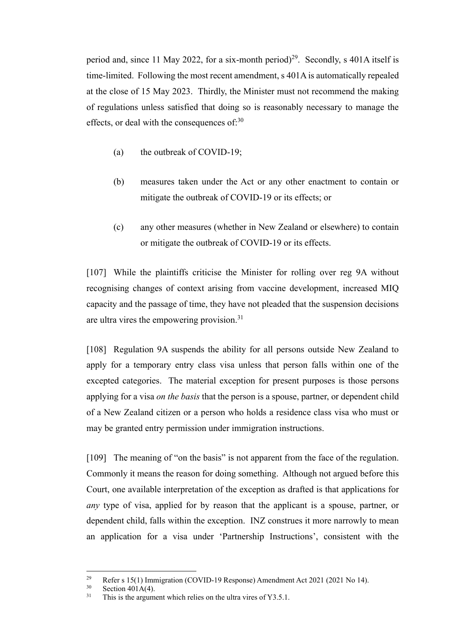period and, since 11 May 2022, for a six-month period)<sup>29</sup>. Secondly, s 401A itself is time-limited. Following the most recent amendment, s 401A is automatically repealed at the close of 15 May 2023. Thirdly, the Minister must not recommend the making of regulations unless satisfied that doing so is reasonably necessary to manage the effects, or deal with the consequences of: $30$ 

- (a) the outbreak of COVID-19;
- (b) measures taken under the Act or any other enactment to contain or mitigate the outbreak of COVID-19 or its effects; or
- (c) any other measures (whether in New Zealand or elsewhere) to contain or mitigate the outbreak of COVID-19 or its effects.

[107] While the plaintiffs criticise the Minister for rolling over reg 9A without recognising changes of context arising from vaccine development, increased MIQ capacity and the passage of time, they have not pleaded that the suspension decisions are ultra vires the empowering provision.<sup>31</sup>

[108] Regulation 9A suspends the ability for all persons outside New Zealand to apply for a temporary entry class visa unless that person falls within one of the excepted categories. The material exception for present purposes is those persons applying for a visa *on the basis* that the person is a spouse, partner, or dependent child of a New Zealand citizen or a person who holds a residence class visa who must or may be granted entry permission under immigration instructions.

[109] The meaning of "on the basis" is not apparent from the face of the regulation. Commonly it means the reason for doing something. Although not argued before this Court, one available interpretation of the exception as drafted is that applications for *any* type of visa, applied for by reason that the applicant is a spouse, partner, or dependent child, falls within the exception. INZ construes it more narrowly to mean an application for a visa under 'Partnership Instructions', consistent with the

<sup>&</sup>lt;sup>29</sup> Refer s 15(1) Immigration (COVID-19 Response) Amendment Act 2021 (2021 No 14).<br><sup>30</sup> Section 401 A(4)

Section  $401A(4)$ .

 $31$  This is the argument which relies on the ultra vires of Y3.5.1.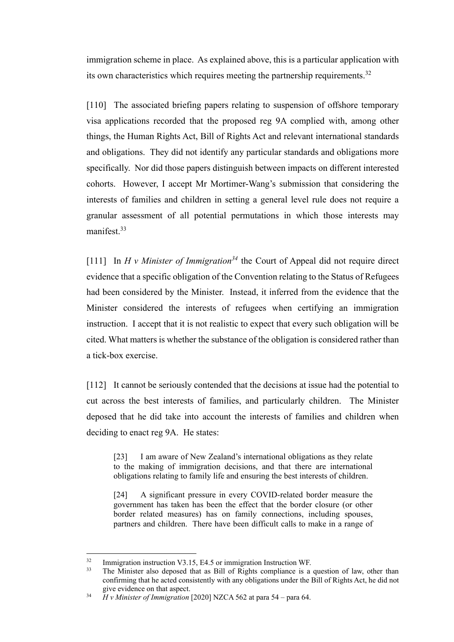immigration scheme in place. As explained above, this is a particular application with its own characteristics which requires meeting the partnership requirements.<sup>32</sup>

[110] The associated briefing papers relating to suspension of offshore temporary visa applications recorded that the proposed reg 9A complied with, among other things, the Human Rights Act, Bill of Rights Act and relevant international standards and obligations. They did not identify any particular standards and obligations more specifically. Nor did those papers distinguish between impacts on different interested cohorts. However, I accept Mr Mortimer-Wang's submission that considering the interests of families and children in setting a general level rule does not require a granular assessment of all potential permutations in which those interests may manifest.<sup>33</sup>

[111] In *H v Minister of Immigration<sup>34</sup>* the Court of Appeal did not require direct evidence that a specific obligation of the Convention relating to the Status of Refugees had been considered by the Minister. Instead, it inferred from the evidence that the Minister considered the interests of refugees when certifying an immigration instruction. I accept that it is not realistic to expect that every such obligation will be cited. What matters is whether the substance of the obligation is considered rather than a tick-box exercise.

[112] It cannot be seriously contended that the decisions at issue had the potential to cut across the best interests of families, and particularly children. The Minister deposed that he did take into account the interests of families and children when deciding to enact reg 9A. He states:

[23] I am aware of New Zealand's international obligations as they relate to the making of immigration decisions, and that there are international obligations relating to family life and ensuring the best interests of children.

[24] A significant pressure in every COVID-related border measure the government has taken has been the effect that the border closure (or other border related measures) has on family connections, including spouses, partners and children. There have been difficult calls to make in a range of

 $\frac{32}{13}$  Immigration instruction V3.15, E4.5 or immigration Instruction WF.

The Minister also deposed that as Bill of Rights compliance is a question of law, other than confirming that he acted consistently with any obligations under the Bill of Rights Act, he did not give evidence on that aspect.

<sup>34</sup> *H v Minister of Immigration* [2020] NZCA 562 at para 54 – para 64.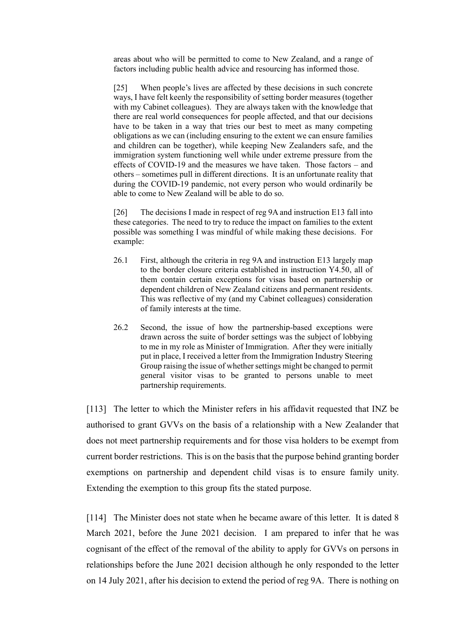areas about who will be permitted to come to New Zealand, and a range of factors including public health advice and resourcing has informed those.

[25] When people's lives are affected by these decisions in such concrete ways, I have felt keenly the responsibility of setting border measures (together with my Cabinet colleagues). They are always taken with the knowledge that there are real world consequences for people affected, and that our decisions have to be taken in a way that tries our best to meet as many competing obligations as we can (including ensuring to the extent we can ensure families and children can be together), while keeping New Zealanders safe, and the immigration system functioning well while under extreme pressure from the effects of COVID-19 and the measures we have taken. Those factors – and others – sometimes pull in different directions. It is an unfortunate reality that during the COVID-19 pandemic, not every person who would ordinarily be able to come to New Zealand will be able to do so.

[26] The decisions I made in respect of reg 9A and instruction E13 fall into these categories. The need to try to reduce the impact on families to the extent possible was something I was mindful of while making these decisions. For example:

- 26.1 First, although the criteria in reg 9A and instruction E13 largely map to the border closure criteria established in instruction Y4.50, all of them contain certain exceptions for visas based on partnership or dependent children of New Zealand citizens and permanent residents. This was reflective of my (and my Cabinet colleagues) consideration of family interests at the time.
- 26.2 Second, the issue of how the partnership-based exceptions were drawn across the suite of border settings was the subject of lobbying to me in my role as Minister of Immigration. After they were initially put in place, I received a letter from the Immigration Industry Steering Group raising the issue of whether settings might be changed to permit general visitor visas to be granted to persons unable to meet partnership requirements.

[113] The letter to which the Minister refers in his affidavit requested that INZ be authorised to grant GVVs on the basis of a relationship with a New Zealander that does not meet partnership requirements and for those visa holders to be exempt from current border restrictions. This is on the basis that the purpose behind granting border exemptions on partnership and dependent child visas is to ensure family unity. Extending the exemption to this group fits the stated purpose.

[114] The Minister does not state when he became aware of this letter. It is dated 8 March 2021, before the June 2021 decision. I am prepared to infer that he was cognisant of the effect of the removal of the ability to apply for GVVs on persons in relationships before the June 2021 decision although he only responded to the letter on 14 July 2021, after his decision to extend the period of reg 9A. There is nothing on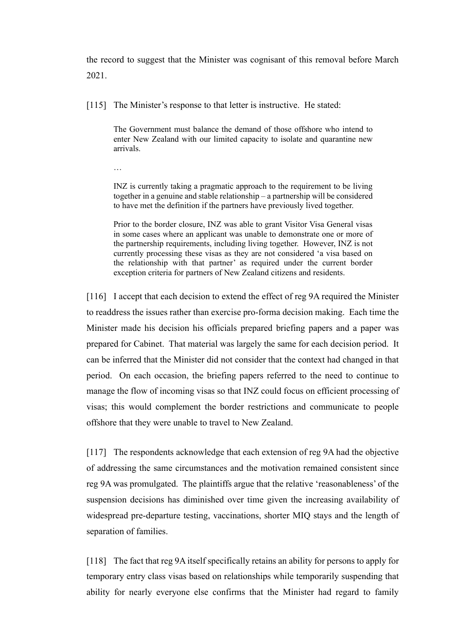the record to suggest that the Minister was cognisant of this removal before March 2021.

[115] The Minister's response to that letter is instructive. He stated:

The Government must balance the demand of those offshore who intend to enter New Zealand with our limited capacity to isolate and quarantine new arrivals.

…

INZ is currently taking a pragmatic approach to the requirement to be living together in a genuine and stable relationship – a partnership will be considered to have met the definition if the partners have previously lived together.

Prior to the border closure, INZ was able to grant Visitor Visa General visas in some cases where an applicant was unable to demonstrate one or more of the partnership requirements, including living together. However, INZ is not currently processing these visas as they are not considered 'a visa based on the relationship with that partner' as required under the current border exception criteria for partners of New Zealand citizens and residents.

[116] I accept that each decision to extend the effect of reg 9A required the Minister to readdress the issues rather than exercise pro-forma decision making. Each time the Minister made his decision his officials prepared briefing papers and a paper was prepared for Cabinet. That material was largely the same for each decision period. It can be inferred that the Minister did not consider that the context had changed in that period. On each occasion, the briefing papers referred to the need to continue to manage the flow of incoming visas so that INZ could focus on efficient processing of visas; this would complement the border restrictions and communicate to people offshore that they were unable to travel to New Zealand.

[117] The respondents acknowledge that each extension of reg 9A had the objective of addressing the same circumstances and the motivation remained consistent since reg 9A was promulgated. The plaintiffs argue that the relative 'reasonableness' of the suspension decisions has diminished over time given the increasing availability of widespread pre-departure testing, vaccinations, shorter MIQ stays and the length of separation of families.

[118] The fact that reg 9A itself specifically retains an ability for persons to apply for temporary entry class visas based on relationships while temporarily suspending that ability for nearly everyone else confirms that the Minister had regard to family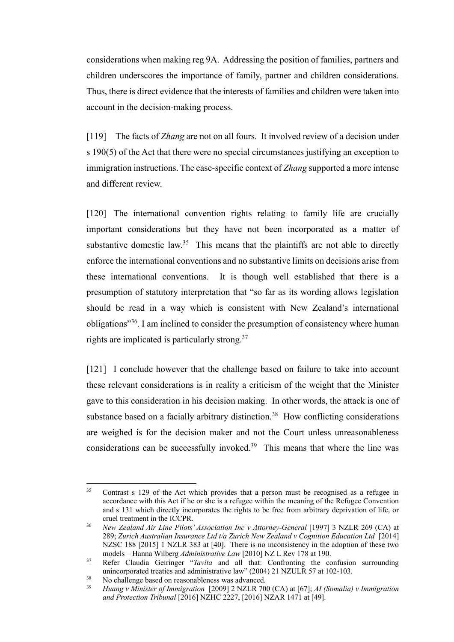considerations when making reg 9A. Addressing the position of families, partners and children underscores the importance of family, partner and children considerations. Thus, there is direct evidence that the interests of families and children were taken into account in the decision-making process.

[119] The facts of *Zhang* are not on all fours. It involved review of a decision under s 190(5) of the Act that there were no special circumstances justifying an exception to immigration instructions. The case-specific context of *Zhang* supported a more intense and different review.

[120] The international convention rights relating to family life are crucially important considerations but they have not been incorporated as a matter of substantive domestic law.<sup>35</sup> This means that the plaintiffs are not able to directly enforce the international conventions and no substantive limits on decisions arise from these international conventions. It is though well established that there is a presumption of statutory interpretation that "so far as its wording allows legislation should be read in a way which is consistent with New Zealand's international obligations"<sup>36</sup>. I am inclined to consider the presumption of consistency where human rights are implicated is particularly strong.<sup>37</sup>

[121] I conclude however that the challenge based on failure to take into account these relevant considerations is in reality a criticism of the weight that the Minister gave to this consideration in his decision making. In other words, the attack is one of substance based on a facially arbitrary distinction.<sup>38</sup> How conflicting considerations are weighed is for the decision maker and not the Court unless unreasonableness considerations can be successfully invoked.<sup>39</sup> This means that where the line was

<sup>&</sup>lt;sup>35</sup> Contrast s 129 of the Act which provides that a person must be recognised as a refugee in accordance with this Act if he or she is a refugee within the meaning of the Refugee Convention and s 131 which directly incorporates the rights to be free from arbitrary deprivation of life, or cruel treatment in the ICCPR.

<sup>36</sup> *New Zealand Air Line Pilots' Association Inc v Attorney-General* [1997] 3 NZLR 269 (CA) at 289; *Zurich Australian Insurance Ltd t/a Zurich New Zealand v Cognition Education Ltd* [2014] NZSC 188 [2015] 1 NZLR 383 at [40]. There is no inconsistency in the adoption of these two models – Hanna Wilberg *Administrative Law* [2010] NZ L Rev 178 at 190.

<sup>37</sup> Refer Claudia Geiringer "*Tavita* and all that: Confronting the confusion surrounding unincorporated treaties and administrative law" (2004) 21 NZULR 57 at 102-103.

<sup>&</sup>lt;sup>38</sup> No challenge based on reasonableness was advanced.<br><sup>39</sup> Hyang y Ministar of Immigration [2000] 2 NZI B 70

<sup>39</sup> *Huang v Minister of Immigration* [2009] 2 NZLR 700 (CA) at [67]; *AI (Somalia) v Immigration and Protection Tribunal* [2016] NZHC 2227, [2016] NZAR 1471 at [49].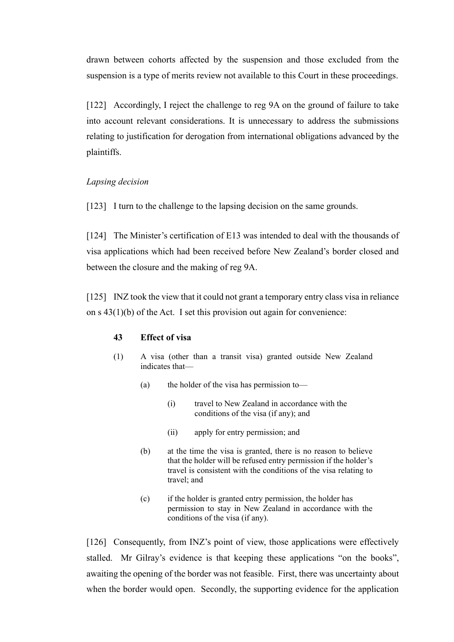drawn between cohorts affected by the suspension and those excluded from the suspension is a type of merits review not available to this Court in these proceedings.

[122] Accordingly, I reject the challenge to reg 9A on the ground of failure to take into account relevant considerations. It is unnecessary to address the submissions relating to justification for derogation from international obligations advanced by the plaintiffs.

## <span id="page-38-0"></span>*Lapsing decision*

[123] I turn to the challenge to the lapsing decision on the same grounds.

[124] The Minister's certification of E13 was intended to deal with the thousands of visa applications which had been received before New Zealand's border closed and between the closure and the making of reg 9A.

[125] INZ took the view that it could not grant a temporary entry class visa in reliance on s  $43(1)(b)$  of the Act. I set this provision out again for convenience:

### **43 Effect of visa**

- (1) A visa (other than a transit visa) granted outside New Zealand indicates that—
	- (a) the holder of the visa has permission to—
		- (i) travel to New Zealand in accordance with the conditions of the visa (if any); and
		- (ii) apply for entry permission; and
	- (b) at the time the visa is granted, there is no reason to believe that the holder will be refused entry permission if the holder's travel is consistent with the conditions of the visa relating to travel; and
	- (c) if the holder is granted entry permission, the holder has permission to stay in New Zealand in accordance with the conditions of the visa (if any).

[126] Consequently, from INZ's point of view, those applications were effectively stalled. Mr Gilray's evidence is that keeping these applications "on the books", awaiting the opening of the border was not feasible. First, there was uncertainty about when the border would open. Secondly, the supporting evidence for the application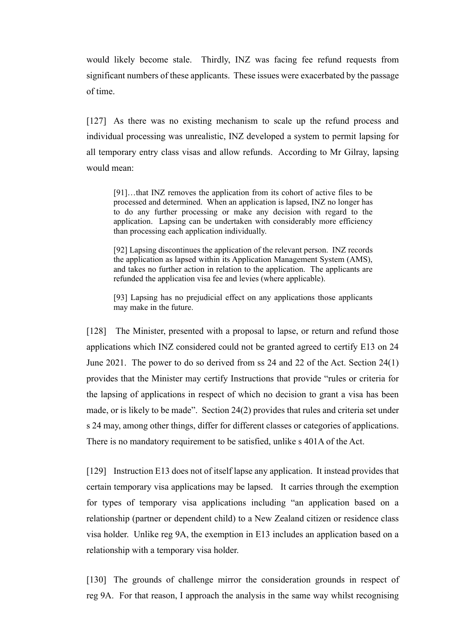would likely become stale. Thirdly, INZ was facing fee refund requests from significant numbers of these applicants. These issues were exacerbated by the passage of time.

[127] As there was no existing mechanism to scale up the refund process and individual processing was unrealistic, INZ developed a system to permit lapsing for all temporary entry class visas and allow refunds. According to Mr Gilray, lapsing would mean:

[91]…that INZ removes the application from its cohort of active files to be processed and determined. When an application is lapsed, INZ no longer has to do any further processing or make any decision with regard to the application. Lapsing can be undertaken with considerably more efficiency than processing each application individually.

[92] Lapsing discontinues the application of the relevant person. INZ records the application as lapsed within its Application Management System (AMS), and takes no further action in relation to the application. The applicants are refunded the application visa fee and levies (where applicable).

[93] Lapsing has no prejudicial effect on any applications those applicants may make in the future.

[128] The Minister, presented with a proposal to lapse, or return and refund those applications which INZ considered could not be granted agreed to certify E13 on 24 June 2021. The power to do so derived from ss 24 and 22 of the Act. Section 24(1) provides that the Minister may certify Instructions that provide "rules or criteria for the lapsing of applications in respect of which no decision to grant a visa has been made, or is likely to be made". Section 24(2) provides that rules and criteria set under s 24 may, among other things, differ for different classes or categories of applications. There is no mandatory requirement to be satisfied, unlike s 401A of the Act.

[129] Instruction E13 does not of itself lapse any application. It instead provides that certain temporary visa applications may be lapsed. It carries through the exemption for types of temporary visa applications including "an application based on a relationship (partner or dependent child) to a New Zealand citizen or residence class visa holder. Unlike reg 9A, the exemption in E13 includes an application based on a relationship with a temporary visa holder.

[130] The grounds of challenge mirror the consideration grounds in respect of reg 9A. For that reason, I approach the analysis in the same way whilst recognising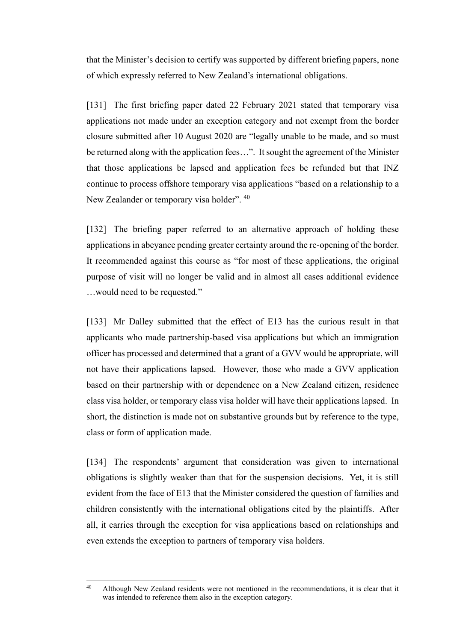that the Minister's decision to certify was supported by different briefing papers, none of which expressly referred to New Zealand's international obligations.

[131] The first briefing paper dated 22 February 2021 stated that temporary visa applications not made under an exception category and not exempt from the border closure submitted after 10 August 2020 are "legally unable to be made, and so must be returned along with the application fees…". It sought the agreement of the Minister that those applications be lapsed and application fees be refunded but that INZ continue to process offshore temporary visa applications "based on a relationship to a New Zealander or temporary visa holder".  $40$ 

[132] The briefing paper referred to an alternative approach of holding these applications in abeyance pending greater certainty around the re-opening of the border. It recommended against this course as "for most of these applications, the original purpose of visit will no longer be valid and in almost all cases additional evidence …would need to be requested."

[133] Mr Dalley submitted that the effect of E13 has the curious result in that applicants who made partnership-based visa applications but which an immigration officer has processed and determined that a grant of a GVV would be appropriate, will not have their applications lapsed. However, those who made a GVV application based on their partnership with or dependence on a New Zealand citizen, residence class visa holder, or temporary class visa holder will have their applications lapsed. In short, the distinction is made not on substantive grounds but by reference to the type, class or form of application made.

[134] The respondents' argument that consideration was given to international obligations is slightly weaker than that for the suspension decisions. Yet, it is still evident from the face of E13 that the Minister considered the question of families and children consistently with the international obligations cited by the plaintiffs. After all, it carries through the exception for visa applications based on relationships and even extends the exception to partners of temporary visa holders.

<sup>&</sup>lt;sup>40</sup> Although New Zealand residents were not mentioned in the recommendations, it is clear that it was intended to reference them also in the exception category.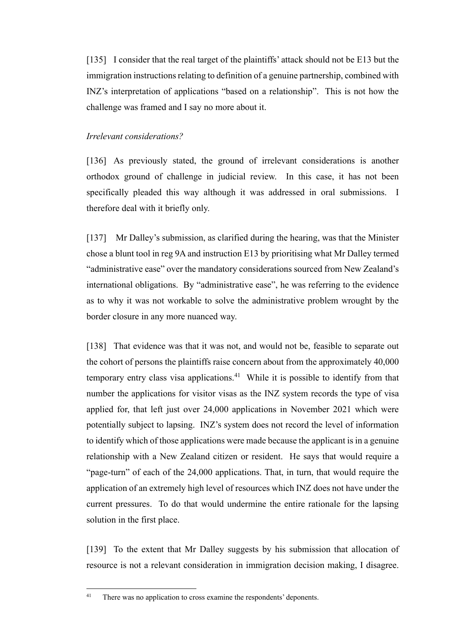[135] I consider that the real target of the plaintiffs' attack should not be E13 but the immigration instructions relating to definition of a genuine partnership, combined with INZ's interpretation of applications "based on a relationship". This is not how the challenge was framed and I say no more about it.

### <span id="page-41-0"></span>*Irrelevant considerations?*

[136] As previously stated, the ground of irrelevant considerations is another orthodox ground of challenge in judicial review. In this case, it has not been specifically pleaded this way although it was addressed in oral submissions. I therefore deal with it briefly only.

[137] Mr Dalley's submission, as clarified during the hearing, was that the Minister chose a blunt tool in reg 9A and instruction E13 by prioritising what Mr Dalley termed "administrative ease" over the mandatory considerations sourced from New Zealand's international obligations. By "administrative ease", he was referring to the evidence as to why it was not workable to solve the administrative problem wrought by the border closure in any more nuanced way.

[138] That evidence was that it was not, and would not be, feasible to separate out the cohort of persons the plaintiffs raise concern about from the approximately 40,000 temporary entry class visa applications.<sup>41</sup> While it is possible to identify from that number the applications for visitor visas as the INZ system records the type of visa applied for, that left just over 24,000 applications in November 2021 which were potentially subject to lapsing. INZ's system does not record the level of information to identify which of those applications were made because the applicant is in a genuine relationship with a New Zealand citizen or resident. He says that would require a "page-turn" of each of the 24,000 applications. That, in turn, that would require the application of an extremely high level of resources which INZ does not have under the current pressures. To do that would undermine the entire rationale for the lapsing solution in the first place.

[139] To the extent that Mr Dalley suggests by his submission that allocation of resource is not a relevant consideration in immigration decision making, I disagree.

<sup>&</sup>lt;sup>41</sup> There was no application to cross examine the respondents' deponents.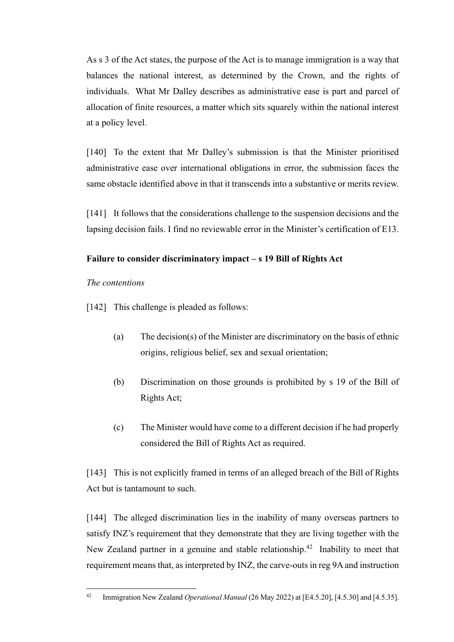As s 3 of the Act states, the purpose of the Act is to manage immigration is a way that balances the national interest, as determined by the Crown, and the rights of individuals. What Mr Dalley describes as administrative ease is part and parcel of allocation of finite resources, a matter which sits squarely within the national interest at a policy level.

[140] To the extent that Mr Dalley's submission is that the Minister prioritised administrative ease over international obligations in error, the submission faces the same obstacle identified above in that it transcends into a substantive or merits review.

[141] It follows that the considerations challenge to the suspension decisions and the lapsing decision fails. I find no reviewable error in the Minister's certification of E13.

## <span id="page-42-0"></span>**Failure to consider discriminatory impact – s 19 Bill of Rights Act**

## <span id="page-42-1"></span>*The contentions*

[142] This challenge is pleaded as follows:

- (a) The decision(s) of the Minister are discriminatory on the basis of ethnic origins, religious belief, sex and sexual orientation;
- (b) Discrimination on those grounds is prohibited by s 19 of the Bill of Rights Act;
- (c) The Minister would have come to a different decision if he had properly considered the Bill of Rights Act as required.

[143] This is not explicitly framed in terms of an alleged breach of the Bill of Rights Act but is tantamount to such.

[144] The alleged discrimination lies in the inability of many overseas partners to satisfy INZ's requirement that they demonstrate that they are living together with the New Zealand partner in a genuine and stable relationship.<sup>42</sup> Inability to meet that requirement means that, as interpreted by INZ, the carve-outs in reg 9A and instruction

<sup>42</sup> Immigration New Zealand *Operational Manual* (26 May 2022) at [E4.5.20], [4.5.30] and [4.5.35].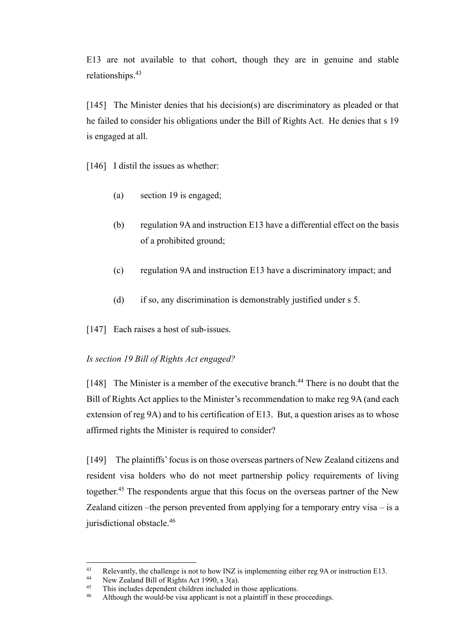E13 are not available to that cohort, though they are in genuine and stable relationships.<sup>43</sup>

[145] The Minister denies that his decision(s) are discriminatory as pleaded or that he failed to consider his obligations under the Bill of Rights Act. He denies that s 19 is engaged at all.

[146] I distil the issues as whether:

- (a) section 19 is engaged;
- (b) regulation 9A and instruction E13 have a differential effect on the basis of a prohibited ground;
- (c) regulation 9A and instruction E13 have a discriminatory impact; and
- (d) if so, any discrimination is demonstrably justified under s 5.
- [147] Each raises a host of sub-issues.

## <span id="page-43-0"></span>*Is section 19 Bill of Rights Act engaged?*

[148] The Minister is a member of the executive branch.<sup>44</sup> There is no doubt that the Bill of Rights Act applies to the Minister's recommendation to make reg 9A (and each extension of reg 9A) and to his certification of E13. But, a question arises as to whose affirmed rights the Minister is required to consider?

[149] The plaintiffs' focus is on those overseas partners of New Zealand citizens and resident visa holders who do not meet partnership policy requirements of living together.<sup>45</sup> The respondents argue that this focus on the overseas partner of the New Zealand citizen –the person prevented from applying for a temporary entry visa – is a jurisdictional obstacle.<sup>46</sup>

<sup>43</sup> Relevantly, the challenge is not to how INZ is implementing either reg 9A or instruction E13.

<sup>&</sup>lt;sup>44</sup> New Zealand Bill of Rights Act 1990, s  $3(a)$ .<br><sup>45</sup> This includes dependent objection included in

This includes dependent children included in those applications.

<sup>&</sup>lt;sup>46</sup> Although the would-be visa applicant is not a plaintiff in these proceedings.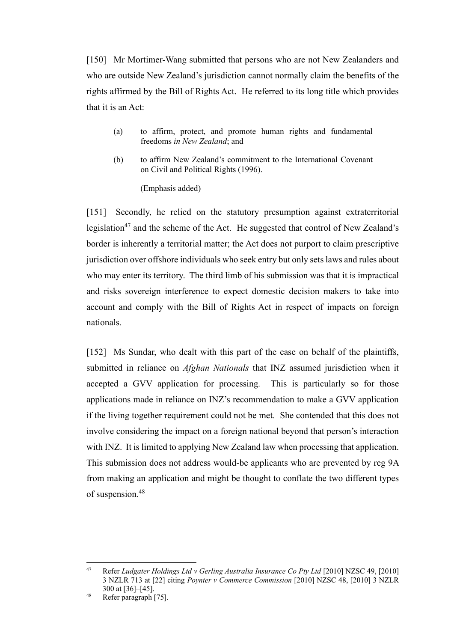[150] Mr Mortimer-Wang submitted that persons who are not New Zealanders and who are outside New Zealand's jurisdiction cannot normally claim the benefits of the rights affirmed by the Bill of Rights Act. He referred to its long title which provides that it is an Act:

- (a) to affirm, protect, and promote human rights and fundamental freedoms *in New Zealand*; and
- (b) to affirm New Zealand's commitment to the International Covenant on Civil and Political Rights (1996).

(Emphasis added)

[151] Secondly, he relied on the statutory presumption against extraterritorial legislation<sup>47</sup> and the scheme of the Act. He suggested that control of New Zealand's border is inherently a territorial matter; the Act does not purport to claim prescriptive jurisdiction over offshore individuals who seek entry but only sets laws and rules about who may enter its territory. The third limb of his submission was that it is impractical and risks sovereign interference to expect domestic decision makers to take into account and comply with the Bill of Rights Act in respect of impacts on foreign nationals.

[152] Ms Sundar, who dealt with this part of the case on behalf of the plaintiffs, submitted in reliance on *Afghan Nationals* that INZ assumed jurisdiction when it accepted a GVV application for processing*.* This is particularly so for those applications made in reliance on INZ's recommendation to make a GVV application if the living together requirement could not be met. She contended that this does not involve considering the impact on a foreign national beyond that person's interaction with INZ. It is limited to applying New Zealand law when processing that application. This submission does not address would-be applicants who are prevented by reg 9A from making an application and might be thought to conflate the two different types of suspension.<sup>48</sup>

<sup>&</sup>lt;sup>47</sup> Refer *Ludgater Holdings Ltd v Gerling Australia Insurance Co Pty Ltd* [2010] NZSC 49, [2010] 3 NZLR 713 at [22] citing *Poynter v Commerce Commission* [2010] NZSC 48, [2010] 3 NZLR 300 at [36]–[45].

<sup>48</sup> Refer paragraph [75].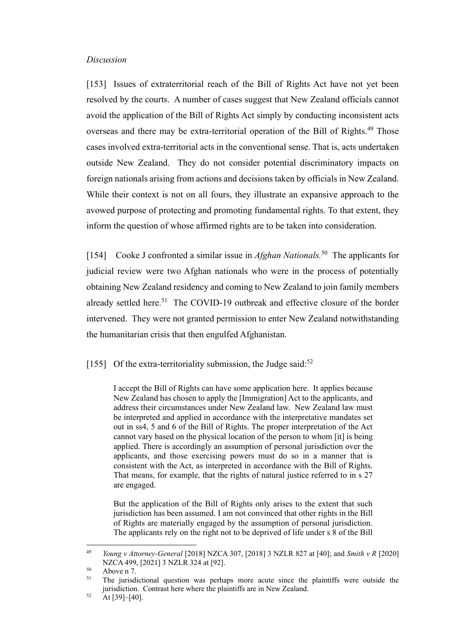#### <span id="page-45-0"></span>*Discussion*

[153] Issues of extraterritorial reach of the Bill of Rights Act have not yet been resolved by the courts. A number of cases suggest that New Zealand officials cannot avoid the application of the Bill of Rights Act simply by conducting inconsistent acts overseas and there may be extra-territorial operation of the Bill of Rights.<sup>49</sup> Those cases involved extra-territorial acts in the conventional sense. That is, acts undertaken outside New Zealand. They do not consider potential discriminatory impacts on foreign nationals arising from actions and decisions taken by officials in New Zealand. While their context is not on all fours, they illustrate an expansive approach to the avowed purpose of protecting and promoting fundamental rights. To that extent, they inform the question of whose affirmed rights are to be taken into consideration.

[154] Cooke J confronted a similar issue in *Afghan Nationals*.<sup>50</sup> The applicants for judicial review were two Afghan nationals who were in the process of potentially obtaining New Zealand residency and coming to New Zealand to join family members already settled here.<sup>51</sup> The COVID-19 outbreak and effective closure of the border intervened. They were not granted permission to enter New Zealand notwithstanding the humanitarian crisis that then engulfed Afghanistan.

[155] Of the extra-territoriality submission, the Judge said: $52$ 

I accept the Bill of Rights can have some application here. It applies because New Zealand has chosen to apply the [Immigration] Act to the applicants, and address their circumstances under New Zealand law. New Zealand law must be interpreted and applied in accordance with the interpretative mandates set out in ss4, 5 and 6 of the Bill of Rights. The proper interpretation of the Act cannot vary based on the physical location of the person to whom [it] is being applied. There is accordingly an assumption of personal jurisdiction over the applicants, and those exercising powers must do so in a manner that is consistent with the Act, as interpreted in accordance with the Bill of Rights. That means, for example, that the rights of natural justice referred to in s 27 are engaged.

But the application of the Bill of Rights only arises to the extent that such jurisdiction has been assumed. I am not convinced that other rights in the Bill of Rights are materially engaged by the assumption of personal jurisdiction. The applicants rely on the right not to be deprived of life under s 8 of the Bill

<sup>49</sup> *Young v Attorney-General* [2018] NZCA 307, [2018] 3 NZLR 827 at [40]; and *Smith v R* [2020] NZCA 499, [2021] 3 NZLR 324 at [92].

 $50$  Above n 7.

<sup>51</sup> The jurisdictional question was perhaps more acute since the plaintiffs were outside the jurisdiction. Contrast here where the plaintiffs are in New Zealand.

 $52$  At [39]-[40].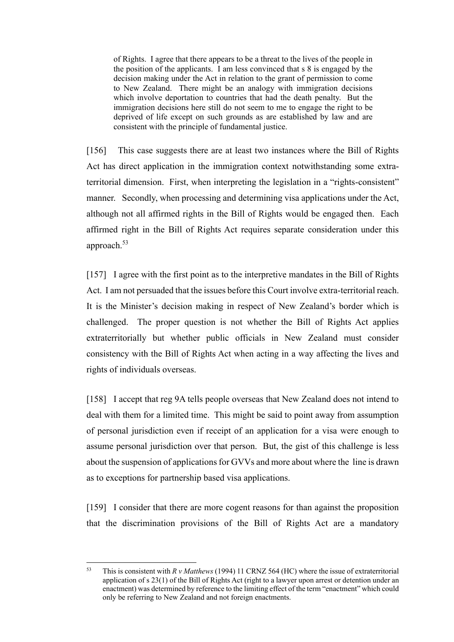of Rights. I agree that there appears to be a threat to the lives of the people in the position of the applicants. I am less convinced that s 8 is engaged by the decision making under the Act in relation to the grant of permission to come to New Zealand. There might be an analogy with immigration decisions which involve deportation to countries that had the death penalty. But the immigration decisions here still do not seem to me to engage the right to be deprived of life except on such grounds as are established by law and are consistent with the principle of fundamental justice.

[156] This case suggests there are at least two instances where the Bill of Rights Act has direct application in the immigration context notwithstanding some extraterritorial dimension. First, when interpreting the legislation in a "rights-consistent" manner. Secondly, when processing and determining visa applications under the Act, although not all affirmed rights in the Bill of Rights would be engaged then. Each affirmed right in the Bill of Rights Act requires separate consideration under this approach.<sup>53</sup>

[157] I agree with the first point as to the interpretive mandates in the Bill of Rights Act. I am not persuaded that the issues before this Court involve extra-territorial reach. It is the Minister's decision making in respect of New Zealand's border which is challenged. The proper question is not whether the Bill of Rights Act applies extraterritorially but whether public officials in New Zealand must consider consistency with the Bill of Rights Act when acting in a way affecting the lives and rights of individuals overseas.

[158] I accept that reg 9A tells people overseas that New Zealand does not intend to deal with them for a limited time. This might be said to point away from assumption of personal jurisdiction even if receipt of an application for a visa were enough to assume personal jurisdiction over that person. But, the gist of this challenge is less about the suspension of applications for GVVs and more about where the line is drawn as to exceptions for partnership based visa applications.

[159] I consider that there are more cogent reasons for than against the proposition that the discrimination provisions of the Bill of Rights Act are a mandatory

<sup>53</sup> This is consistent with *R v Matthews* (1994) 11 CRNZ 564 (HC) where the issue of extraterritorial application of s 23(1) of the Bill of Rights Act (right to a lawyer upon arrest or detention under an enactment) was determined by reference to the limiting effect of the term "enactment" which could only be referring to New Zealand and not foreign enactments.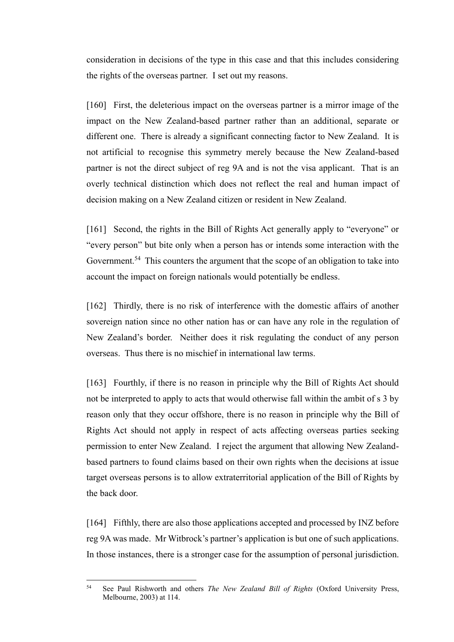consideration in decisions of the type in this case and that this includes considering the rights of the overseas partner. I set out my reasons.

[160] First, the deleterious impact on the overseas partner is a mirror image of the impact on the New Zealand-based partner rather than an additional, separate or different one. There is already a significant connecting factor to New Zealand. It is not artificial to recognise this symmetry merely because the New Zealand-based partner is not the direct subject of reg 9A and is not the visa applicant. That is an overly technical distinction which does not reflect the real and human impact of decision making on a New Zealand citizen or resident in New Zealand.

[161] Second, the rights in the Bill of Rights Act generally apply to "everyone" or "every person" but bite only when a person has or intends some interaction with the Government.<sup>54</sup> This counters the argument that the scope of an obligation to take into account the impact on foreign nationals would potentially be endless.

[162] Thirdly, there is no risk of interference with the domestic affairs of another sovereign nation since no other nation has or can have any role in the regulation of New Zealand's border. Neither does it risk regulating the conduct of any person overseas. Thus there is no mischief in international law terms.

[163] Fourthly, if there is no reason in principle why the Bill of Rights Act should not be interpreted to apply to acts that would otherwise fall within the ambit of s 3 by reason only that they occur offshore, there is no reason in principle why the Bill of Rights Act should not apply in respect of acts affecting overseas parties seeking permission to enter New Zealand. I reject the argument that allowing New Zealandbased partners to found claims based on their own rights when the decisions at issue target overseas persons is to allow extraterritorial application of the Bill of Rights by the back door.

[164] Fifthly, there are also those applications accepted and processed by INZ before reg 9A was made. Mr Witbrock's partner's application is but one of such applications. In those instances, there is a stronger case for the assumption of personal jurisdiction.

<sup>54</sup> See Paul Rishworth and others *The New Zealand Bill of Rights* (Oxford University Press, Melbourne, 2003) at 114.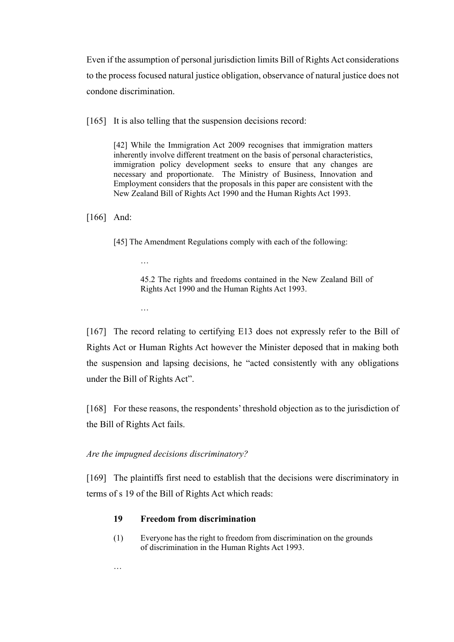Even if the assumption of personal jurisdiction limits Bill of Rights Act considerations to the process focused natural justice obligation, observance of natural justice does not condone discrimination.

[165] It is also telling that the suspension decisions record:

[42] While the Immigration Act 2009 recognises that immigration matters inherently involve different treatment on the basis of personal characteristics, immigration policy development seeks to ensure that any changes are necessary and proportionate. The Ministry of Business, Innovation and Employment considers that the proposals in this paper are consistent with the New Zealand Bill of Rights Act 1990 and the Human Rights Act 1993.

[166] And:

[45] The Amendment Regulations comply with each of the following:

45.2 The rights and freedoms contained in the New Zealand Bill of Rights Act 1990 and the Human Rights Act 1993.

…

…

[167] The record relating to certifying E13 does not expressly refer to the Bill of Rights Act or Human Rights Act however the Minister deposed that in making both the suspension and lapsing decisions, he "acted consistently with any obligations under the Bill of Rights Act".

[168] For these reasons, the respondents' threshold objection as to the jurisdiction of the Bill of Rights Act fails.

### <span id="page-48-0"></span>*Are the impugned decisions discriminatory?*

[169] The plaintiffs first need to establish that the decisions were discriminatory in terms of s 19 of the Bill of Rights Act which reads:

## **19 Freedom from discrimination**

(1) Everyone has the right to freedom from discrimination on the grounds of discrimination in the Human Rights Act 1993.

…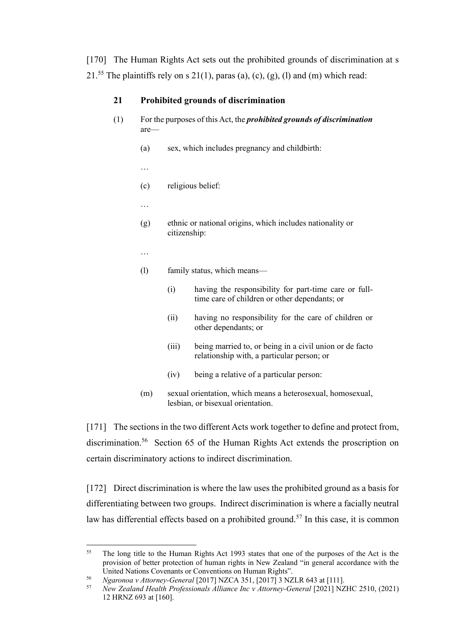[170] The Human Rights Act sets out the prohibited grounds of discrimination at s 21.<sup>55</sup> The plaintiffs rely on s 21(1), paras (a), (c), (g), (l) and (m) which read:

## **21 Prohibited grounds of discrimination**

- (1) For the purposes of this Act, the *prohibited grounds of discrimination* are—
	- (a) sex, which includes pregnancy and childbirth:
	- …
	- (c) religious belief:
	- …
	- (g) ethnic or national origins, which includes nationality or citizenship:
	- …
	- (l) family status, which means—
		- (i) having the responsibility for part-time care or fulltime care of children or other dependants; or
		- (ii) having no responsibility for the care of children or other dependants; or
		- (iii) being married to, or being in a civil union or de facto relationship with, a particular person; or
		- (iv) being a relative of a particular person:
	- (m) sexual orientation, which means a heterosexual, homosexual, lesbian, or bisexual orientation.

<span id="page-49-1"></span>[171] The sections in the two different Acts work together to define and protect from, discrimination.<sup>56</sup> Section 65 of the Human Rights Act extends the proscription on certain discriminatory actions to indirect discrimination.

<span id="page-49-0"></span>[172] Direct discrimination is where the law uses the prohibited ground as a basis for differentiating between two groups. Indirect discrimination is where a facially neutral law has differential effects based on a prohibited ground.<sup>57</sup> In this case, it is common

<sup>&</sup>lt;sup>55</sup> The long title to the Human Rights Act 1993 states that one of the purposes of the Act is the provision of better protection of human rights in New Zealand "in general accordance with the United Nations Covenants or Conventions on Human Rights".

<sup>56</sup> *Ngaronoa v Attorney-General* [2017] NZCA 351, [2017] 3 NZLR 643 at [111].

<sup>57</sup> *New Zealand Health Professionals Alliance Inc v Attorney-General* [2021] NZHC 2510, (2021) 12 HRNZ 693 at [160].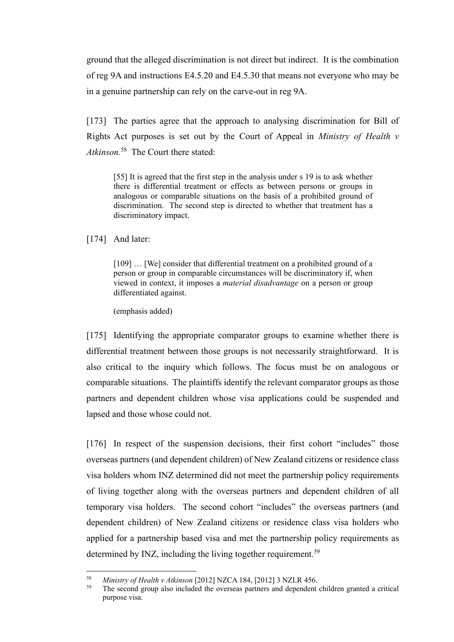ground that the alleged discrimination is not direct but indirect. It is the combination of reg 9A and instructions E4.5.20 and E4.5.30 that means not everyone who may be in a genuine partnership can rely on the carve-out in reg 9A.

[173] The parties agree that the approach to analysing discrimination for Bill of Rights Act purposes is set out by the Court of Appeal in *Ministry of Health v Atkinson.*<sup>58</sup> The Court there stated:

<span id="page-50-0"></span>[55] It is agreed that the first step in the analysis under s 19 is to ask whether there is differential treatment or effects as between persons or groups in analogous or comparable situations on the basis of a prohibited ground of discrimination. The second step is directed to whether that treatment has a discriminatory impact.

[174] And later:

[109] ... [We] consider that differential treatment on a prohibited ground of a person or group in comparable circumstances will be discriminatory if, when viewed in context, it imposes a *material disadvantage* on a person or group differentiated against.

(emphasis added)

[175] Identifying the appropriate comparator groups to examine whether there is differential treatment between those groups is not necessarily straightforward. It is also critical to the inquiry which follows. The focus must be on analogous or comparable situations. The plaintiffs identify the relevant comparator groups as those partners and dependent children whose visa applications could be suspended and lapsed and those whose could not.

[176] In respect of the suspension decisions, their first cohort "includes" those overseas partners (and dependent children) of New Zealand citizens or residence class visa holders whom INZ determined did not meet the partnership policy requirements of living together along with the overseas partners and dependent children of all temporary visa holders. The second cohort "includes" the overseas partners (and dependent children) of New Zealand citizens or residence class visa holders who applied for a partnership based visa and met the partnership policy requirements as determined by INZ, including the living together requirement.<sup>59</sup>

<sup>58</sup> *Ministry of Health v Atkinson* [2012] NZCA 184, [2012] 3 NZLR 456.

<sup>59</sup> The second group also included the overseas partners and dependent children granted a critical purpose visa.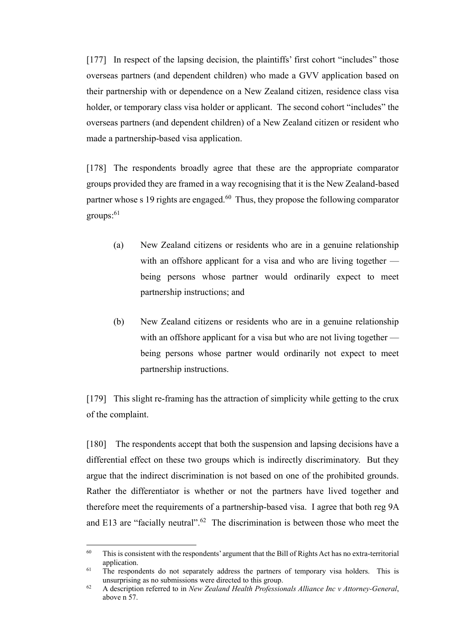[177] In respect of the lapsing decision, the plaintiffs' first cohort "includes" those overseas partners (and dependent children) who made a GVV application based on their partnership with or dependence on a New Zealand citizen, residence class visa holder, or temporary class visa holder or applicant. The second cohort "includes" the overseas partners (and dependent children) of a New Zealand citizen or resident who made a partnership-based visa application.

[178] The respondents broadly agree that these are the appropriate comparator groups provided they are framed in a way recognising that it is the New Zealand-based partner whose s 19 rights are engaged. $60$  Thus, they propose the following comparator  $groups:$ <sup>61</sup>

- (a) New Zealand citizens or residents who are in a genuine relationship with an offshore applicant for a visa and who are living together being persons whose partner would ordinarily expect to meet partnership instructions; and
- (b) New Zealand citizens or residents who are in a genuine relationship with an offshore applicant for a visa but who are not living together being persons whose partner would ordinarily not expect to meet partnership instructions.

[179] This slight re-framing has the attraction of simplicity while getting to the crux of the complaint.

[180] The respondents accept that both the suspension and lapsing decisions have a differential effect on these two groups which is indirectly discriminatory. But they argue that the indirect discrimination is not based on one of the prohibited grounds. Rather the differentiator is whether or not the partners have lived together and therefore meet the requirements of a partnership-based visa. I agree that both reg 9A and E13 are "facially neutral".<sup>62</sup> The discrimination is between those who meet the

<sup>&</sup>lt;sup>60</sup> This is consistent with the respondents' argument that the Bill of Rights Act has no extra-territorial application.

<sup>&</sup>lt;sup>61</sup> The respondents do not separately address the partners of temporary visa holders. This is unsurprising as no submissions were directed to this group.

<sup>62</sup> A description referred to in *New Zealand Health Professionals Alliance Inc v Attorney-General*, above [n 57.](#page-49-0)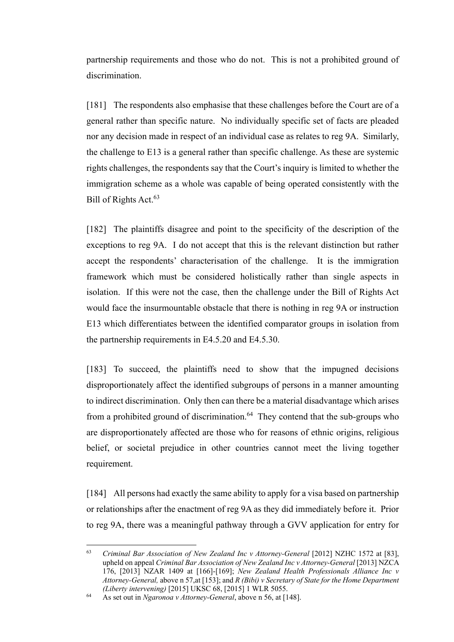partnership requirements and those who do not. This is not a prohibited ground of discrimination.

[181] The respondents also emphasise that these challenges before the Court are of a general rather than specific nature. No individually specific set of facts are pleaded nor any decision made in respect of an individual case as relates to reg 9A. Similarly, the challenge to E13 is a general rather than specific challenge. As these are systemic rights challenges, the respondents say that the Court's inquiry is limited to whether the immigration scheme as a whole was capable of being operated consistently with the Bill of Rights Act.<sup>63</sup>

[182] The plaintiffs disagree and point to the specificity of the description of the exceptions to reg 9A. I do not accept that this is the relevant distinction but rather accept the respondents' characterisation of the challenge. It is the immigration framework which must be considered holistically rather than single aspects in isolation. If this were not the case, then the challenge under the Bill of Rights Act would face the insurmountable obstacle that there is nothing in reg 9A or instruction E13 which differentiates between the identified comparator groups in isolation from the partnership requirements in E4.5.20 and E4.5.30.

[183] To succeed, the plaintiffs need to show that the impugned decisions disproportionately affect the identified subgroups of persons in a manner amounting to indirect discrimination. Only then can there be a material disadvantage which arises from a prohibited ground of discrimination.<sup>64</sup> They contend that the sub-groups who are disproportionately affected are those who for reasons of ethnic origins, religious belief, or societal prejudice in other countries cannot meet the living together requirement.

[184] All persons had exactly the same ability to apply for a visa based on partnership or relationships after the enactment of reg 9A as they did immediately before it. Prior to reg 9A, there was a meaningful pathway through a GVV application for entry for

<sup>&</sup>lt;sup>63</sup> *Criminal Bar Association of New Zealand Inc v Attorney-General* [2012] NZHC 1572 at [83], upheld on appeal *Criminal Bar Association of New Zealand Inc v Attorney-General* [2013] NZCA 176, [2013] NZAR 1409 at [166]-[169]; *New Zealand Health Professionals Alliance Inc v Attorney-General,* above [n 57,](#page-49-0)at [153]; and *R (Bibi) v Secretary of State for the Home Department (Liberty intervening)* [2015] UKSC 68, [2015] 1 WLR 5055.

<sup>64</sup> As set out in *Ngaronoa v Attorney-General*, above n [56,](#page-49-1) at [148].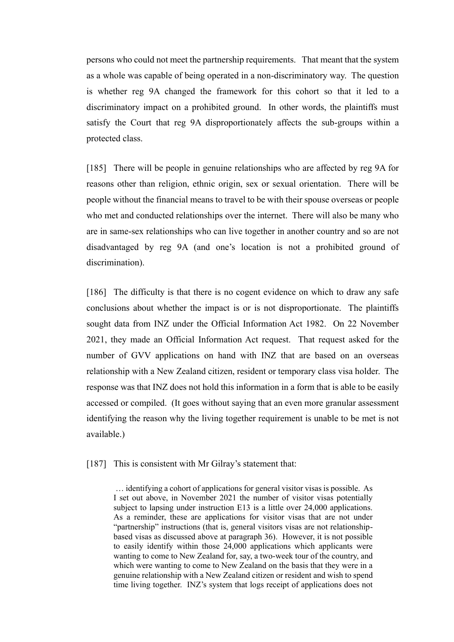persons who could not meet the partnership requirements. That meant that the system as a whole was capable of being operated in a non-discriminatory way. The question is whether reg 9A changed the framework for this cohort so that it led to a discriminatory impact on a prohibited ground. In other words, the plaintiffs must satisfy the Court that reg 9A disproportionately affects the sub-groups within a protected class.

[185] There will be people in genuine relationships who are affected by reg 9A for reasons other than religion, ethnic origin, sex or sexual orientation. There will be people without the financial means to travel to be with their spouse overseas or people who met and conducted relationships over the internet. There will also be many who are in same-sex relationships who can live together in another country and so are not disadvantaged by reg 9A (and one's location is not a prohibited ground of discrimination).

[186] The difficulty is that there is no cogent evidence on which to draw any safe conclusions about whether the impact is or is not disproportionate. The plaintiffs sought data from INZ under the Official Information Act 1982. On 22 November 2021, they made an Official Information Act request. That request asked for the number of GVV applications on hand with INZ that are based on an overseas relationship with a New Zealand citizen, resident or temporary class visa holder. The response was that INZ does not hold this information in a form that is able to be easily accessed or compiled. (It goes without saying that an even more granular assessment identifying the reason why the living together requirement is unable to be met is not available.)

[187] This is consistent with Mr Gilray's statement that:

… identifying a cohort of applications for general visitor visas is possible. As I set out above, in November 2021 the number of visitor visas potentially subject to lapsing under instruction E13 is a little over 24,000 applications. As a reminder, these are applications for visitor visas that are not under "partnership" instructions (that is, general visitors visas are not relationshipbased visas as discussed above at paragraph 36). However, it is not possible to easily identify within those 24,000 applications which applicants were wanting to come to New Zealand for, say, a two-week tour of the country, and which were wanting to come to New Zealand on the basis that they were in a genuine relationship with a New Zealand citizen or resident and wish to spend time living together. INZ's system that logs receipt of applications does not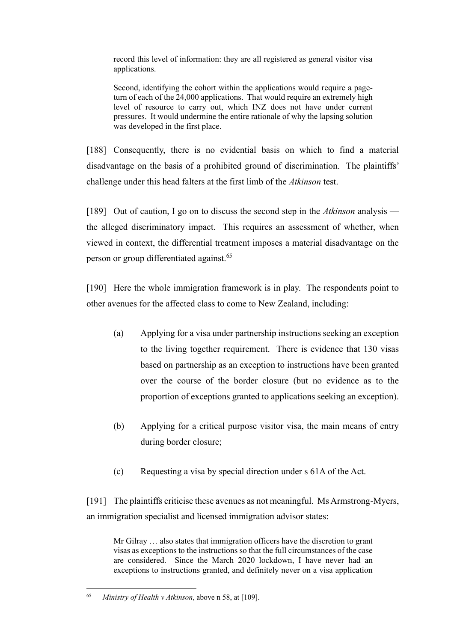record this level of information: they are all registered as general visitor visa applications.

Second, identifying the cohort within the applications would require a pageturn of each of the 24,000 applications. That would require an extremely high level of resource to carry out, which INZ does not have under current pressures. It would undermine the entire rationale of why the lapsing solution was developed in the first place.

[188] Consequently, there is no evidential basis on which to find a material disadvantage on the basis of a prohibited ground of discrimination. The plaintiffs' challenge under this head falters at the first limb of the *Atkinson* test.

[189] Out of caution, I go on to discuss the second step in the *Atkinson* analysis the alleged discriminatory impact. This requires an assessment of whether, when viewed in context, the differential treatment imposes a material disadvantage on the person or group differentiated against.<sup>65</sup>

[190] Here the whole immigration framework is in play. The respondents point to other avenues for the affected class to come to New Zealand, including:

- (a) Applying for a visa under partnership instructions seeking an exception to the living together requirement. There is evidence that 130 visas based on partnership as an exception to instructions have been granted over the course of the border closure (but no evidence as to the proportion of exceptions granted to applications seeking an exception).
- (b) Applying for a critical purpose visitor visa, the main means of entry during border closure;
- (c) Requesting a visa by special direction under s 61A of the Act.

[191] The plaintiffs criticise these avenues as not meaningful. Ms Armstrong-Myers, an immigration specialist and licensed immigration advisor states:

Mr Gilray … also states that immigration officers have the discretion to grant visas as exceptions to the instructions so that the full circumstances of the case are considered. Since the March 2020 lockdown, I have never had an exceptions to instructions granted, and definitely never on a visa application

<sup>65</sup> *Ministry of Health v Atkinson*, above [n 58,](#page-50-0) at [109].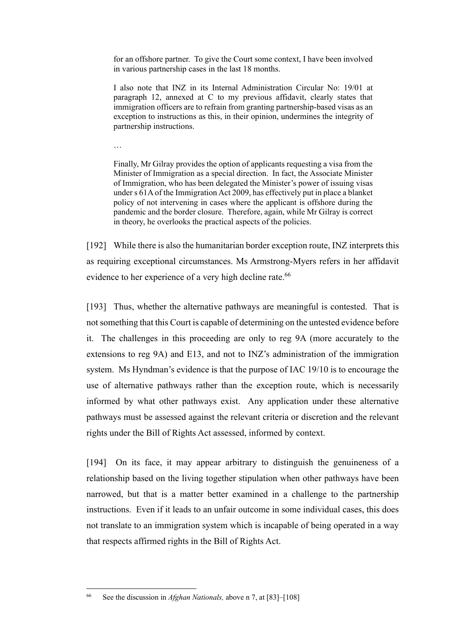for an offshore partner. To give the Court some context, I have been involved in various partnership cases in the last 18 months.

I also note that INZ in its Internal Administration Circular No: 19/01 at paragraph 12, annexed at C to my previous affidavit, clearly states that immigration officers are to refrain from granting partnership-based visas as an exception to instructions as this, in their opinion, undermines the integrity of partnership instructions.

…

Finally, Mr Gilray provides the option of applicants requesting a visa from the Minister of Immigration as a special direction. In fact, the Associate Minister of Immigration, who has been delegated the Minister's power of issuing visas under s 61A of the Immigration Act 2009, has effectively put in place a blanket policy of not intervening in cases where the applicant is offshore during the pandemic and the border closure. Therefore, again, while Mr Gilray is correct in theory, he overlooks the practical aspects of the policies.

[192] While there is also the humanitarian border exception route, INZ interprets this as requiring exceptional circumstances. Ms Armstrong-Myers refers in her affidavit evidence to her experience of a very high decline rate.<sup>66</sup>

[193] Thus, whether the alternative pathways are meaningful is contested. That is not something that this Court is capable of determining on the untested evidence before it. The challenges in this proceeding are only to reg 9A (more accurately to the extensions to reg 9A) and E13, and not to INZ's administration of the immigration system. Ms Hyndman's evidence is that the purpose of IAC 19/10 is to encourage the use of alternative pathways rather than the exception route, which is necessarily informed by what other pathways exist. Any application under these alternative pathways must be assessed against the relevant criteria or discretion and the relevant rights under the Bill of Rights Act assessed, informed by context.

[194] On its face, it may appear arbitrary to distinguish the genuineness of a relationship based on the living together stipulation when other pathways have been narrowed, but that is a matter better examined in a challenge to the partnership instructions. Even if it leads to an unfair outcome in some individual cases, this does not translate to an immigration system which is incapable of being operated in a way that respects affirmed rights in the Bill of Rights Act.

<sup>66</sup> See the discussion in *Afghan Nationals,* above n 7, at [83]–[108]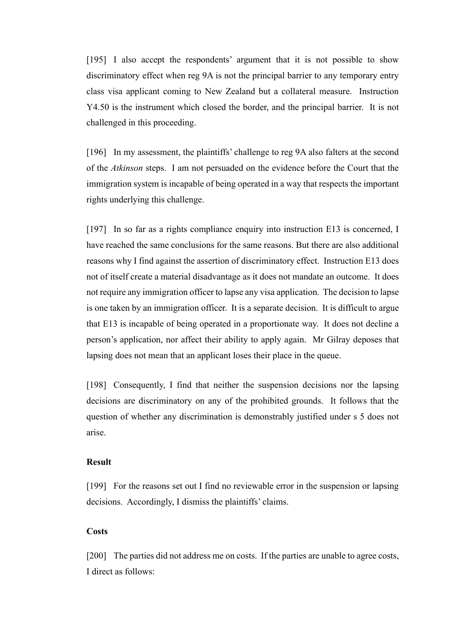[195] I also accept the respondents' argument that it is not possible to show discriminatory effect when reg 9A is not the principal barrier to any temporary entry class visa applicant coming to New Zealand but a collateral measure. Instruction Y4.50 is the instrument which closed the border, and the principal barrier. It is not challenged in this proceeding.

[196] In my assessment, the plaintiffs' challenge to reg 9A also falters at the second of the *Atkinson* steps. I am not persuaded on the evidence before the Court that the immigration system is incapable of being operated in a way that respects the important rights underlying this challenge.

[197] In so far as a rights compliance enquiry into instruction E13 is concerned, I have reached the same conclusions for the same reasons. But there are also additional reasons why I find against the assertion of discriminatory effect. Instruction E13 does not of itself create a material disadvantage as it does not mandate an outcome. It does not require any immigration officer to lapse any visa application. The decision to lapse is one taken by an immigration officer. It is a separate decision. It is difficult to argue that E13 is incapable of being operated in a proportionate way. It does not decline a person's application, nor affect their ability to apply again. Mr Gilray deposes that lapsing does not mean that an applicant loses their place in the queue.

[198] Consequently, I find that neither the suspension decisions nor the lapsing decisions are discriminatory on any of the prohibited grounds. It follows that the question of whether any discrimination is demonstrably justified under s 5 does not arise.

#### <span id="page-56-0"></span>**Result**

[199] For the reasons set out I find no reviewable error in the suspension or lapsing decisions. Accordingly, I dismiss the plaintiffs' claims.

#### <span id="page-56-1"></span>**Costs**

[200] The parties did not address me on costs. If the parties are unable to agree costs, I direct as follows: